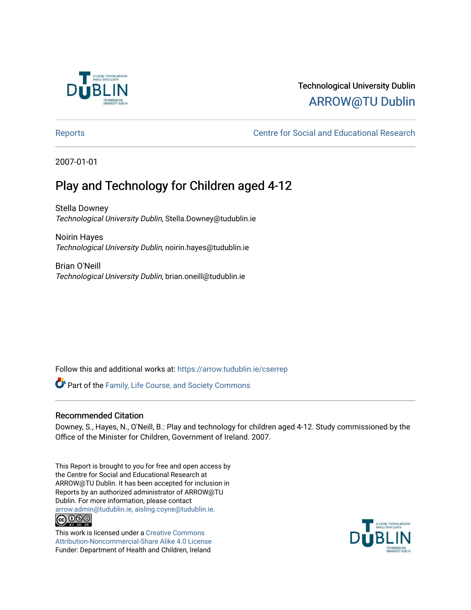

## Technological University Dublin [ARROW@TU Dublin](https://arrow.tudublin.ie/)

[Reports](https://arrow.tudublin.ie/cserrep) **Centre for Social and Educational Research** 

2007-01-01

## Play and Technology for Children aged 4-12

Stella Downey Technological University Dublin, Stella.Downey@tudublin.ie

Noirin Hayes Technological University Dublin, noirin.hayes@tudublin.ie

Brian O'Neill Technological University Dublin, brian.oneill@tudublin.ie

Follow this and additional works at: [https://arrow.tudublin.ie/cserrep](https://arrow.tudublin.ie/cserrep?utm_source=arrow.tudublin.ie%2Fcserrep%2F2&utm_medium=PDF&utm_campaign=PDFCoverPages)

Part of the [Family, Life Course, and Society Commons](http://network.bepress.com/hgg/discipline/419?utm_source=arrow.tudublin.ie%2Fcserrep%2F2&utm_medium=PDF&utm_campaign=PDFCoverPages) 

#### Recommended Citation

Downey, S., Hayes, N., O'Neill, B.: Play and technology for children aged 4-12. Study commissioned by the Office of the Minister for Children, Government of Ireland. 2007.

This Report is brought to you for free and open access by the Centre for Social and Educational Research at ARROW@TU Dublin. It has been accepted for inclusion in Reports by an authorized administrator of ARROW@TU Dublin. For more information, please contact [arrow.admin@tudublin.ie, aisling.coyne@tudublin.ie](mailto:arrow.admin@tudublin.ie,%20aisling.coyne@tudublin.ie).<br>(co 060

This work is licensed under a [Creative Commons](http://creativecommons.org/licenses/by-nc-sa/4.0/) [Attribution-Noncommercial-Share Alike 4.0 License](http://creativecommons.org/licenses/by-nc-sa/4.0/) Funder: Department of Health and Children, Ireland

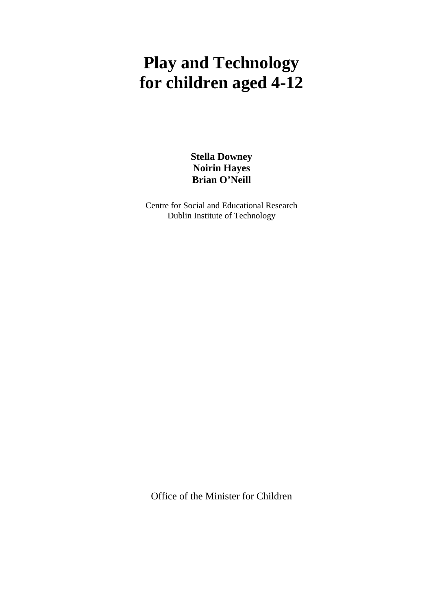# **Play and Technology for children aged 4-12**

**Stella Downey Noirin Hayes Brian O'Neill** 

Centre for Social and Educational Research Dublin Institute of Technology

Office of the Minister for Children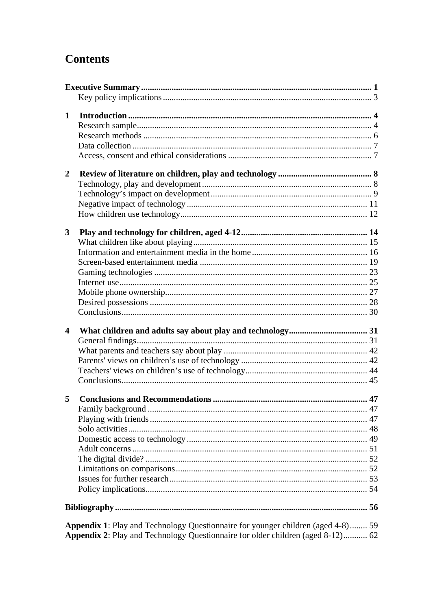## **Contents**

| $\mathbf{1}$            |                                                                                         |  |
|-------------------------|-----------------------------------------------------------------------------------------|--|
|                         |                                                                                         |  |
|                         |                                                                                         |  |
|                         |                                                                                         |  |
|                         |                                                                                         |  |
| $\overline{2}$          |                                                                                         |  |
|                         |                                                                                         |  |
|                         |                                                                                         |  |
|                         |                                                                                         |  |
|                         |                                                                                         |  |
|                         |                                                                                         |  |
| $\mathbf{3}$            |                                                                                         |  |
|                         |                                                                                         |  |
|                         |                                                                                         |  |
|                         |                                                                                         |  |
|                         |                                                                                         |  |
|                         |                                                                                         |  |
|                         |                                                                                         |  |
|                         |                                                                                         |  |
|                         |                                                                                         |  |
| $\overline{\mathbf{4}}$ |                                                                                         |  |
|                         |                                                                                         |  |
|                         |                                                                                         |  |
|                         |                                                                                         |  |
|                         |                                                                                         |  |
|                         |                                                                                         |  |
|                         |                                                                                         |  |
| 5                       |                                                                                         |  |
|                         |                                                                                         |  |
|                         |                                                                                         |  |
|                         |                                                                                         |  |
|                         |                                                                                         |  |
|                         |                                                                                         |  |
|                         |                                                                                         |  |
|                         |                                                                                         |  |
|                         |                                                                                         |  |
|                         |                                                                                         |  |
|                         |                                                                                         |  |
|                         |                                                                                         |  |
|                         | <b>Appendix 1:</b> Play and Technology Questionnaire for younger children (aged 4-8) 59 |  |
|                         | Appendix 2: Play and Technology Questionnaire for older children (aged 8-12) 62         |  |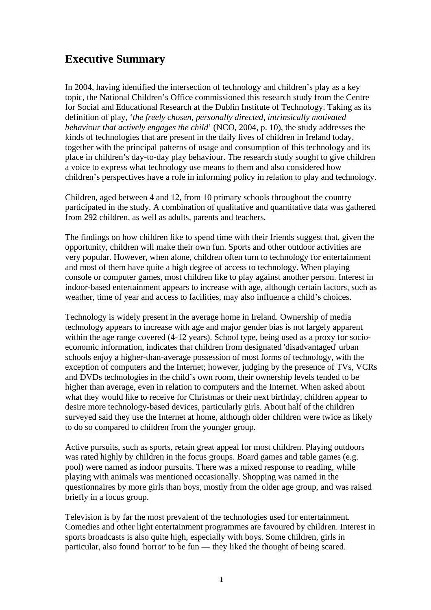## **Executive Summary**

In 2004, having identified the intersection of technology and children's play as a key topic, the National Children's Office commissioned this research study from the Centre for Social and Educational Research at the Dublin Institute of Technology. Taking as its definition of play, '*the freely chosen, personally directed, intrinsically motivated behaviour that actively engages the child*' (NCO, 2004, p. 10), the study addresses the kinds of technologies that are present in the daily lives of children in Ireland today, together with the principal patterns of usage and consumption of this technology and its place in children's day-to-day play behaviour. The research study sought to give children a voice to express what technology use means to them and also considered how children's perspectives have a role in informing policy in relation to play and technology.

Children, aged between 4 and 12, from 10 primary schools throughout the country participated in the study. A combination of qualitative and quantitative data was gathered from 292 children, as well as adults, parents and teachers.

The findings on how children like to spend time with their friends suggest that, given the opportunity, children will make their own fun. Sports and other outdoor activities are very popular. However, when alone, children often turn to technology for entertainment and most of them have quite a high degree of access to technology. When playing console or computer games, most children like to play against another person. Interest in indoor-based entertainment appears to increase with age, although certain factors, such as weather, time of year and access to facilities, may also influence a child's choices.

Technology is widely present in the average home in Ireland. Ownership of media technology appears to increase with age and major gender bias is not largely apparent within the age range covered (4-12 years). School type, being used as a proxy for socioeconomic information, indicates that children from designated 'disadvantaged' urban schools enjoy a higher-than-average possession of most forms of technology, with the exception of computers and the Internet; however, judging by the presence of TVs, VCRs and DVDs technologies in the child's own room, their ownership levels tended to be higher than average, even in relation to computers and the Internet. When asked about what they would like to receive for Christmas or their next birthday, children appear to desire more technology-based devices, particularly girls. About half of the children surveyed said they use the Internet at home, although older children were twice as likely to do so compared to children from the younger group.

Active pursuits, such as sports, retain great appeal for most children. Playing outdoors was rated highly by children in the focus groups. Board games and table games (e.g. pool) were named as indoor pursuits. There was a mixed response to reading, while playing with animals was mentioned occasionally. Shopping was named in the questionnaires by more girls than boys, mostly from the older age group, and was raised briefly in a focus group.

Television is by far the most prevalent of the technologies used for entertainment. Comedies and other light entertainment programmes are favoured by children. Interest in sports broadcasts is also quite high, especially with boys. Some children, girls in particular, also found 'horror' to be fun — they liked the thought of being scared.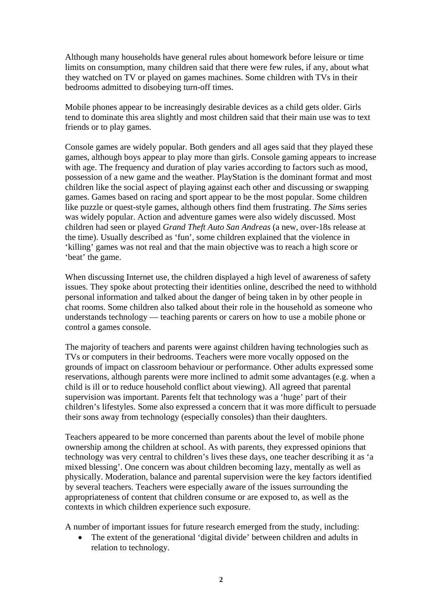Although many households have general rules about homework before leisure or time limits on consumption, many children said that there were few rules, if any, about what they watched on TV or played on games machines. Some children with TVs in their bedrooms admitted to disobeying turn-off times.

Mobile phones appear to be increasingly desirable devices as a child gets older. Girls tend to dominate this area slightly and most children said that their main use was to text friends or to play games.

Console games are widely popular. Both genders and all ages said that they played these games, although boys appear to play more than girls. Console gaming appears to increase with age. The frequency and duration of play varies according to factors such as mood, possession of a new game and the weather. PlayStation is the dominant format and most children like the social aspect of playing against each other and discussing or swapping games. Games based on racing and sport appear to be the most popular. Some children like puzzle or quest-style games, although others find them frustrating. *The Sims* series was widely popular. Action and adventure games were also widely discussed. Most children had seen or played *Grand Theft Auto San Andreas* (a new, over-18s release at the time). Usually described as 'fun', some children explained that the violence in 'killing' games was not real and that the main objective was to reach a high score or 'beat' the game.

When discussing Internet use, the children displayed a high level of awareness of safety issues. They spoke about protecting their identities online, described the need to withhold personal information and talked about the danger of being taken in by other people in chat rooms. Some children also talked about their role in the household as someone who understands technology — teaching parents or carers on how to use a mobile phone or control a games console.

The majority of teachers and parents were against children having technologies such as TVs or computers in their bedrooms. Teachers were more vocally opposed on the grounds of impact on classroom behaviour or performance. Other adults expressed some reservations, although parents were more inclined to admit some advantages (e.g. when a child is ill or to reduce household conflict about viewing). All agreed that parental supervision was important. Parents felt that technology was a 'huge' part of their children's lifestyles. Some also expressed a concern that it was more difficult to persuade their sons away from technology (especially consoles) than their daughters.

Teachers appeared to be more concerned than parents about the level of mobile phone ownership among the children at school. As with parents, they expressed opinions that technology was very central to children's lives these days, one teacher describing it as 'a mixed blessing'. One concern was about children becoming lazy, mentally as well as physically. Moderation, balance and parental supervision were the key factors identified by several teachers. Teachers were especially aware of the issues surrounding the appropriateness of content that children consume or are exposed to, as well as the contexts in which children experience such exposure.

A number of important issues for future research emerged from the study, including:

The extent of the generational 'digital divide' between children and adults in relation to technology.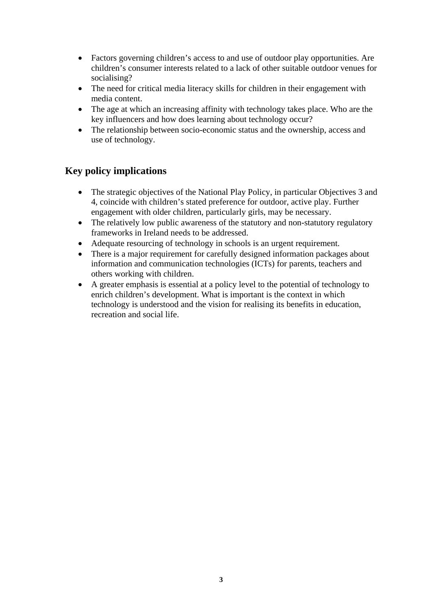- Factors governing children's access to and use of outdoor play opportunities. Are children's consumer interests related to a lack of other suitable outdoor venues for socialising?
- The need for critical media literacy skills for children in their engagement with media content.
- The age at which an increasing affinity with technology takes place. Who are the key influencers and how does learning about technology occur?
- The relationship between socio-economic status and the ownership, access and use of technology.

## **Key policy implications**

- The strategic objectives of the National Play Policy, in particular Objectives 3 and 4, coincide with children's stated preference for outdoor, active play. Further engagement with older children, particularly girls, may be necessary.
- The relatively low public awareness of the statutory and non-statutory regulatory frameworks in Ireland needs to be addressed.
- Adequate resourcing of technology in schools is an urgent requirement.
- There is a major requirement for carefully designed information packages about information and communication technologies (ICTs) for parents, teachers and others working with children.
- A greater emphasis is essential at a policy level to the potential of technology to enrich children's development. What is important is the context in which technology is understood and the vision for realising its benefits in education, recreation and social life.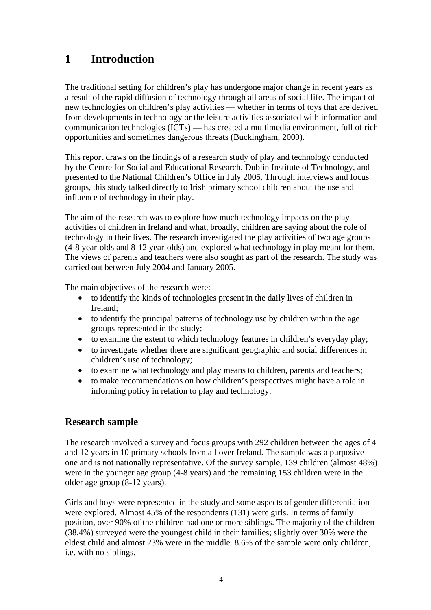## **1 Introduction**

The traditional setting for children's play has undergone major change in recent years as a result of the rapid diffusion of technology through all areas of social life. The impact of new technologies on children's play activities — whether in terms of toys that are derived from developments in technology or the leisure activities associated with information and communication technologies (ICTs) — has created a multimedia environment, full of rich opportunities and sometimes dangerous threats (Buckingham, 2000).

This report draws on the findings of a research study of play and technology conducted by the Centre for Social and Educational Research, Dublin Institute of Technology, and presented to the National Children's Office in July 2005. Through interviews and focus groups, this study talked directly to Irish primary school children about the use and influence of technology in their play.

The aim of the research was to explore how much technology impacts on the play activities of children in Ireland and what, broadly, children are saying about the role of technology in their lives. The research investigated the play activities of two age groups (4-8 year-olds and 8-12 year-olds) and explored what technology in play meant for them. The views of parents and teachers were also sought as part of the research. The study was carried out between July 2004 and January 2005.

The main objectives of the research were:

- to identify the kinds of technologies present in the daily lives of children in Ireland;
- to identify the principal patterns of technology use by children within the age groups represented in the study;
- to examine the extent to which technology features in children's everyday play;
- to investigate whether there are significant geographic and social differences in children's use of technology;
- to examine what technology and play means to children, parents and teachers;
- to make recommendations on how children's perspectives might have a role in informing policy in relation to play and technology.

## **Research sample**

The research involved a survey and focus groups with 292 children between the ages of 4 and 12 years in 10 primary schools from all over Ireland. The sample was a purposive one and is not nationally representative. Of the survey sample, 139 children (almost 48%) were in the younger age group (4-8 years) and the remaining 153 children were in the older age group (8-12 years).

Girls and boys were represented in the study and some aspects of gender differentiation were explored. Almost 45% of the respondents (131) were girls. In terms of family position, over 90% of the children had one or more siblings. The majority of the children (38.4%) surveyed were the youngest child in their families; slightly over 30% were the eldest child and almost 23% were in the middle. 8.6% of the sample were only children, i.e. with no siblings.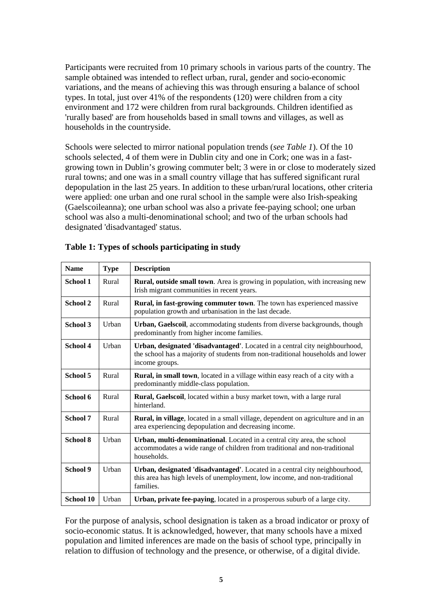Participants were recruited from 10 primary schools in various parts of the country. The sample obtained was intended to reflect urban, rural, gender and socio-economic variations, and the means of achieving this was through ensuring a balance of school types. In total, just over 41% of the respondents (120) were children from a city environment and 172 were children from rural backgrounds. Children identified as 'rurally based' are from households based in small towns and villages, as well as households in the countryside.

Schools were selected to mirror national population trends (*see Table 1*). Of the 10 schools selected, 4 of them were in Dublin city and one in Cork; one was in a fastgrowing town in Dublin's growing commuter belt; 3 were in or close to moderately sized rural towns; and one was in a small country village that has suffered significant rural depopulation in the last 25 years. In addition to these urban/rural locations, other criteria were applied: one urban and one rural school in the sample were also Irish-speaking (Gaelscoileanna); one urban school was also a private fee-paying school; one urban school was also a multi-denominational school; and two of the urban schools had designated 'disadvantaged' status.

| <b>Name</b> | <b>Type</b> | <b>Description</b>                                                                                                                                                               |
|-------------|-------------|----------------------------------------------------------------------------------------------------------------------------------------------------------------------------------|
| School 1    | Rural       | <b>Rural, outside small town</b> . Area is growing in population, with increasing new<br>Irish migrant communities in recent years.                                              |
| School 2    | Rural       | Rural, in fast-growing commuter town. The town has experienced massive<br>population growth and urbanisation in the last decade.                                                 |
| School 3    | Urban       | Urban, Gaelscoil, accommodating students from diverse backgrounds, though<br>predominantly from higher income families.                                                          |
| School 4    | Urban       | Urban, designated 'disadvantaged'. Located in a central city neighbourhood,<br>the school has a majority of students from non-traditional households and lower<br>income groups. |
| School 5    | Rural       | <b>Rural, in small town</b> , located in a village within easy reach of a city with a<br>predominantly middle-class population.                                                  |
| School 6    | Rural       | Rural, Gaelscoil, located within a busy market town, with a large rural<br>hinterland.                                                                                           |
| School 7    | Rural       | Rural, in village, located in a small village, dependent on agriculture and in an<br>area experiencing depopulation and decreasing income.                                       |
| School 8    | Urban       | Urban, multi-denominational. Located in a central city area, the school<br>accommodates a wide range of children from traditional and non-traditional<br>households.             |
| School 9    | Urban       | Urban, designated 'disadvantaged'. Located in a central city neighbourhood,<br>this area has high levels of unemployment, low income, and non-traditional<br>families.           |
| School 10   | Urban       | Urban, private fee-paying, located in a prosperous suburb of a large city.                                                                                                       |

#### **Table 1: Types of schools participating in study**

For the purpose of analysis, school designation is taken as a broad indicator or proxy of socio-economic status. It is acknowledged, however, that many schools have a mixed population and limited inferences are made on the basis of school type, principally in relation to diffusion of technology and the presence, or otherwise, of a digital divide.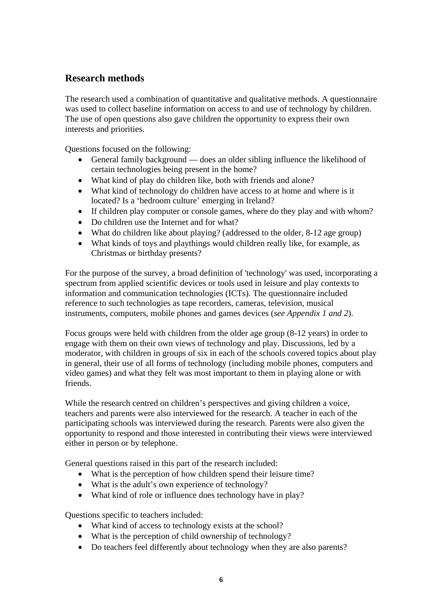## **Research methods**

The research used a combination of quantitative and qualitative methods. A questionnaire was used to collect baseline information on access to and use of technology by children. The use of open questions also gave children the opportunity to express their own interests and priorities.

Questions focused on the following:

- General family background does an older sibling influence the likelihood of certain technologies being present in the home?
- What kind of play do children like, both with friends and alone?
- What kind of technology do children have access to at home and where is it located? Is a 'bedroom culture' emerging in Ireland?
- If children play computer or console games, where do they play and with whom?
- Do children use the Internet and for what?
- What do children like about playing? (addressed to the older, 8-12 age group)
- What kinds of toys and playthings would children really like, for example, as Christmas or birthday presents?

For the purpose of the survey, a broad definition of 'technology' was used, incorporating a spectrum from applied scientific devices or tools used in leisure and play contexts to information and communication technologies (ICTs). The questionnaire included reference to such technologies as tape recorders, cameras, television, musical instruments, computers, mobile phones and games devices (*see Appendix 1 and 2*).

Focus groups were held with children from the older age group (8-12 years) in order to engage with them on their own views of technology and play. Discussions, led by a moderator, with children in groups of six in each of the schools covered topics about play in general, their use of all forms of technology (including mobile phones, computers and video games) and what they felt was most important to them in playing alone or with friends.

While the research centred on children's perspectives and giving children a voice, teachers and parents were also interviewed for the research. A teacher in each of the participating schools was interviewed during the research. Parents were also given the opportunity to respond and those interested in contributing their views were interviewed either in person or by telephone.

General questions raised in this part of the research included:

- What is the perception of how children spend their leisure time?
- What is the adult's own experience of technology?
- What kind of role or influence does technology have in play?

Questions specific to teachers included:

- What kind of access to technology exists at the school?
- What is the perception of child ownership of technology?
- Do teachers feel differently about technology when they are also parents?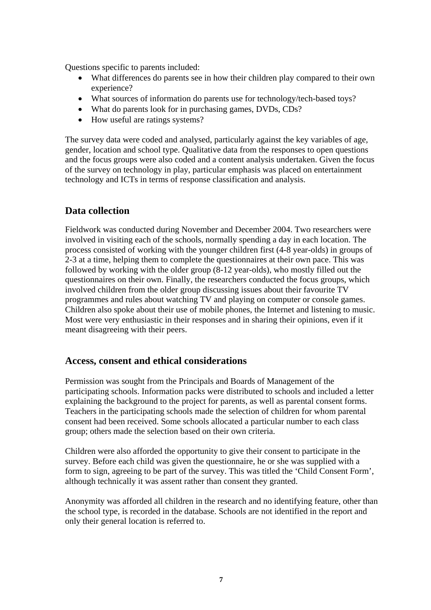Questions specific to parents included:

- What differences do parents see in how their children play compared to their own experience?
- What sources of information do parents use for technology/tech-based toys?
- What do parents look for in purchasing games, DVDs, CDs?
- How useful are ratings systems?

The survey data were coded and analysed, particularly against the key variables of age, gender, location and school type. Qualitative data from the responses to open questions and the focus groups were also coded and a content analysis undertaken. Given the focus of the survey on technology in play, particular emphasis was placed on entertainment technology and ICTs in terms of response classification and analysis.

## **Data collection**

Fieldwork was conducted during November and December 2004. Two researchers were involved in visiting each of the schools, normally spending a day in each location. The process consisted of working with the younger children first (4-8 year-olds) in groups of 2-3 at a time, helping them to complete the questionnaires at their own pace. This was followed by working with the older group (8-12 year-olds), who mostly filled out the questionnaires on their own. Finally, the researchers conducted the focus groups, which involved children from the older group discussing issues about their favourite TV programmes and rules about watching TV and playing on computer or console games. Children also spoke about their use of mobile phones, the Internet and listening to music. Most were very enthusiastic in their responses and in sharing their opinions, even if it meant disagreeing with their peers.

## **Access, consent and ethical considerations**

Permission was sought from the Principals and Boards of Management of the participating schools. Information packs were distributed to schools and included a letter explaining the background to the project for parents, as well as parental consent forms. Teachers in the participating schools made the selection of children for whom parental consent had been received. Some schools allocated a particular number to each class group; others made the selection based on their own criteria.

Children were also afforded the opportunity to give their consent to participate in the survey. Before each child was given the questionnaire, he or she was supplied with a form to sign, agreeing to be part of the survey. This was titled the 'Child Consent Form', although technically it was assent rather than consent they granted.

Anonymity was afforded all children in the research and no identifying feature, other than the school type, is recorded in the database. Schools are not identified in the report and only their general location is referred to.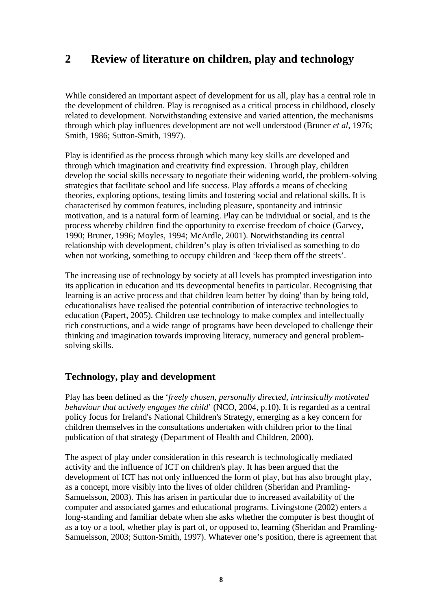## **2 Review of literature on children, play and technology**

While considered an important aspect of development for us all, play has a central role in the development of children. Play is recognised as a critical process in childhood, closely related to development. Notwithstanding extensive and varied attention, the mechanisms through which play influences development are not well understood (Bruner *et al*, 1976; Smith, 1986; Sutton-Smith, 1997).

Play is identified as the process through which many key skills are developed and through which imagination and creativity find expression. Through play, children develop the social skills necessary to negotiate their widening world, the problem-solving strategies that facilitate school and life success. Play affords a means of checking theories, exploring options, testing limits and fostering social and relational skills. It is characterised by common features, including pleasure, spontaneity and intrinsic motivation, and is a natural form of learning. Play can be individual or social, and is the process whereby children find the opportunity to exercise freedom of choice (Garvey, 1990; Bruner, 1996; Moyles, 1994; McArdle, 2001). Notwithstanding its central relationship with development, children's play is often trivialised as something to do when not working, something to occupy children and 'keep them off the streets'.

The increasing use of technology by society at all levels has prompted investigation into its application in education and its deveopmental benefits in particular. Recognising that learning is an active process and that children learn better 'by doing' than by being told, educationalists have realised the potential contribution of interactive technologies to education (Papert, 2005). Children use technology to make complex and intellectually rich constructions, and a wide range of programs have been developed to challenge their thinking and imagination towards improving literacy, numeracy and general problemsolving skills.

## **Technology, play and development**

Play has been defined as the '*freely chosen, personally directed, intrinsically motivated behaviour that actively engages the child*' (NCO, 2004, p.10). It is regarded as a central policy focus for Ireland's National Children's Strategy, emerging as a key concern for children themselves in the consultations undertaken with children prior to the final publication of that strategy (Department of Health and Children, 2000).

The aspect of play under consideration in this research is technologically mediated activity and the influence of ICT on children's play. It has been argued that the development of ICT has not only influenced the form of play, but has also brought play, as a concept, more visibly into the lives of older children (Sheridan and Pramling-Samuelsson, 2003). This has arisen in particular due to increased availability of the computer and associated games and educational programs. Livingstone (2002) enters a long-standing and familiar debate when she asks whether the computer is best thought of as a toy or a tool, whether play is part of, or opposed to, learning (Sheridan and Pramling-Samuelsson, 2003; Sutton-Smith, 1997). Whatever one's position, there is agreement that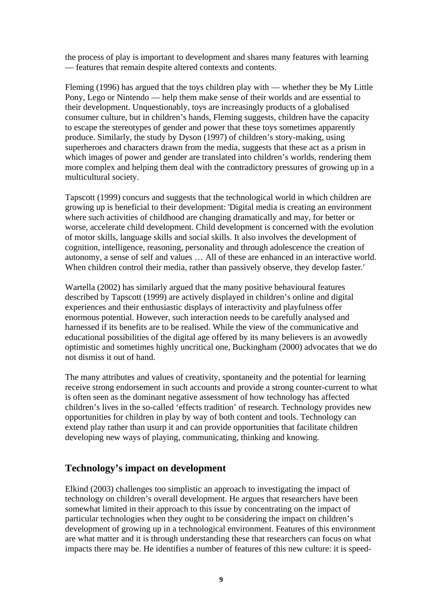the process of play is important to development and shares many features with learning — features that remain despite altered contexts and contents.

Fleming (1996) has argued that the toys children play with — whether they be My Little Pony, Lego or Nintendo — help them make sense of their worlds and are essential to their development. Unquestionably, toys are increasingly products of a globalised consumer culture, but in children's hands, Fleming suggests, children have the capacity to escape the stereotypes of gender and power that these toys sometimes apparently produce. Similarly, the study by Dyson (1997) of children's story-making, using superheroes and characters drawn from the media, suggests that these act as a prism in which images of power and gender are translated into children's worlds, rendering them more complex and helping them deal with the contradictory pressures of growing up in a multicultural society.

Tapscott (1999) concurs and suggests that the technological world in which children are growing up is beneficial to their development: 'Digital media is creating an environment where such activities of childhood are changing dramatically and may, for better or worse, accelerate child development. Child development is concerned with the evolution of motor skills, language skills and social skills. It also involves the development of cognition, intelligence, reasoning, personality and through adolescence the creation of autonomy, a sense of self and values … All of these are enhanced in an interactive world. When children control their media, rather than passively observe, they develop faster.'

Wartella (2002) has similarly argued that the many positive behavioural features described by Tapscott (1999) are actively displayed in children's online and digital experiences and their enthusiastic displays of interactivity and playfulness offer enormous potential. However, such interaction needs to be carefully analysed and harnessed if its benefits are to be realised. While the view of the communicative and educational possibilities of the digital age offered by its many believers is an avowedly optimistic and sometimes highly uncritical one, Buckingham (2000) advocates that we do not dismiss it out of hand.

The many attributes and values of creativity, spontaneity and the potential for learning receive strong endorsement in such accounts and provide a strong counter-current to what is often seen as the dominant negative assessment of how technology has affected children's lives in the so-called 'effects tradition' of research. Technology provides new opportunities for children in play by way of both content and tools. Technology can extend play rather than usurp it and can provide opportunities that facilitate children developing new ways of playing, communicating, thinking and knowing.

#### **Technology's impact on development**

Elkind (2003) challenges too simplistic an approach to investigating the impact of technology on children's overall development. He argues that researchers have been somewhat limited in their approach to this issue by concentrating on the impact of particular technologies when they ought to be considering the impact on children's development of growing up in a technological environment. Features of this environment are what matter and it is through understanding these that researchers can focus on what impacts there may be. He identifies a number of features of this new culture: it is speed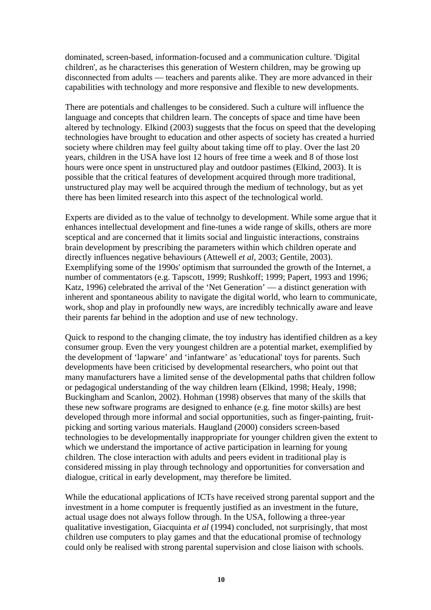dominated, screen-based, information-focused and a communication culture. 'Digital children', as he characterises this generation of Western children, may be growing up disconnected from adults — teachers and parents alike. They are more advanced in their capabilities with technology and more responsive and flexible to new developments.

There are potentials and challenges to be considered. Such a culture will influence the language and concepts that children learn. The concepts of space and time have been altered by technology. Elkind (2003) suggests that the focus on speed that the developing technologies have brought to education and other aspects of society has created a hurried society where children may feel guilty about taking time off to play. Over the last 20 years, children in the USA have lost 12 hours of free time a week and 8 of those lost hours were once spent in unstructured play and outdoor pastimes (Elkind, 2003). It is possible that the critical features of development acquired through more traditional, unstructured play may well be acquired through the medium of technology, but as yet there has been limited research into this aspect of the technological world.

Experts are divided as to the value of technolgy to development. While some argue that it enhances intellectual development and fine-tunes a wide range of skills, others are more sceptical and are concerned that it limits social and linguistic interactions, constrains brain development by prescribing the parameters within which children operate and directly influences negative behaviours (Attewell *et al*, 2003; Gentile, 2003). Exemplifying some of the 1990s' optimism that surrounded the growth of the Internet, a number of commentators (e.g. Tapscott, 1999; Rushkoff; 1999; Papert, 1993 and 1996; Katz, 1996) celebrated the arrival of the 'Net Generation' — a distinct generation with inherent and spontaneous ability to navigate the digital world, who learn to communicate, work, shop and play in profoundly new ways, are incredibly technically aware and leave their parents far behind in the adoption and use of new technology.

Quick to respond to the changing climate, the toy industry has identified children as a key consumer group. Even the very youngest children are a potential market, exemplified by the development of 'lapware' and 'infantware' as 'educational' toys for parents. Such developments have been criticised by developmental researchers, who point out that many manufacturers have a limited sense of the developmental paths that children follow or pedagogical understanding of the way children learn (Elkind, 1998; Healy, 1998; Buckingham and Scanlon, 2002). Hohman (1998) observes that many of the skills that these new software programs are designed to enhance (e.g. fine motor skills) are best developed through more informal and social opportunities, such as finger-painting, fruitpicking and sorting various materials. Haugland (2000) considers screen-based technologies to be developmentally inappropriate for younger children given the extent to which we understand the importance of active participation in learning for young children. The close interaction with adults and peers evident in traditional play is considered missing in play through technology and opportunities for conversation and dialogue, critical in early development, may therefore be limited.

While the educational applications of ICTs have received strong parental support and the investment in a home computer is frequently justified as an investment in the future, actual usage does not always follow through. In the USA, following a three-year qualitative investigation, Giacquinta *et al* (1994) concluded, not surprisingly, that most children use computers to play games and that the educational promise of technology could only be realised with strong parental supervision and close liaison with schools.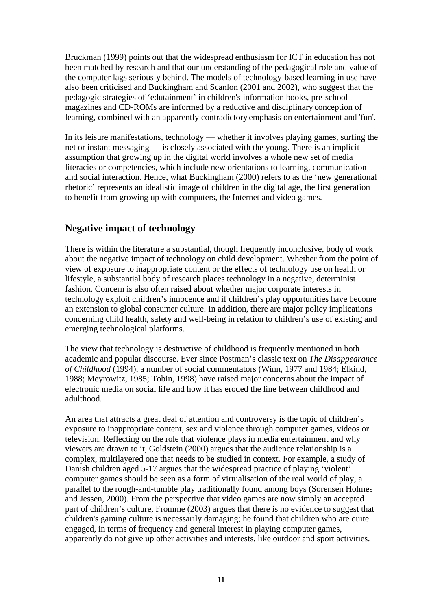Bruckman (1999) points out that the widespread enthusiasm for ICT in education has not been matched by research and that our understanding of the pedagogical role and value of the computer lags seriously behind. The models of technology-based learning in use have also been criticised and Buckingham and Scanlon (2001 and 2002), who suggest that the pedagogic strategies of 'edutainment' in children's information books, pre-school magazines and CD-ROMs are informed by a reductive and disciplinary conception of learning, combined with an apparently contradictory emphasis on entertainment and 'fun'.

In its leisure manifestations, technology — whether it involves playing games, surfing the net or instant messaging — is closely associated with the young. There is an implicit assumption that growing up in the digital world involves a whole new set of media literacies or competencies, which include new orientations to learning, communication and social interaction. Hence, what Buckingham (2000) refers to as the 'new generational rhetoric' represents an idealistic image of children in the digital age, the first generation to benefit from growing up with computers, the Internet and video games.

## **Negative impact of technology**

There is within the literature a substantial, though frequently inconclusive, body of work about the negative impact of technology on child development. Whether from the point of view of exposure to inappropriate content or the effects of technology use on health or lifestyle, a substantial body of research places technology in a negative, determinist fashion. Concern is also often raised about whether major corporate interests in technology exploit children's innocence and if children's play opportunities have become an extension to global consumer culture. In addition, there are major policy implications concerning child health, safety and well-being in relation to children's use of existing and emerging technological platforms.

The view that technology is destructive of childhood is frequently mentioned in both academic and popular discourse. Ever since Postman's classic text on *The Disappearance of Childhood* (1994), a number of social commentators (Winn, 1977 and 1984; Elkind, 1988; Meyrowitz, 1985; Tobin, 1998) have raised major concerns about the impact of electronic media on social life and how it has eroded the line between childhood and adulthood.

An area that attracts a great deal of attention and controversy is the topic of children's exposure to inappropriate content, sex and violence through computer games, videos or television. Reflecting on the role that violence plays in media entertainment and why viewers are drawn to it, Goldstein (2000) argues that the audience relationship is a complex, multilayered one that needs to be studied in context. For example, a study of Danish children aged 5-17 argues that the widespread practice of playing 'violent' computer games should be seen as a form of virtualisation of the real world of play, a parallel to the rough-and-tumble play traditionally found among boys (Sorensen Holmes and Jessen, 2000). From the perspective that video games are now simply an accepted part of children's culture, Fromme (2003) argues that there is no evidence to suggest that children's gaming culture is necessarily damaging; he found that children who are quite engaged, in terms of frequency and general interest in playing computer games, apparently do not give up other activities and interests, like outdoor and sport activities.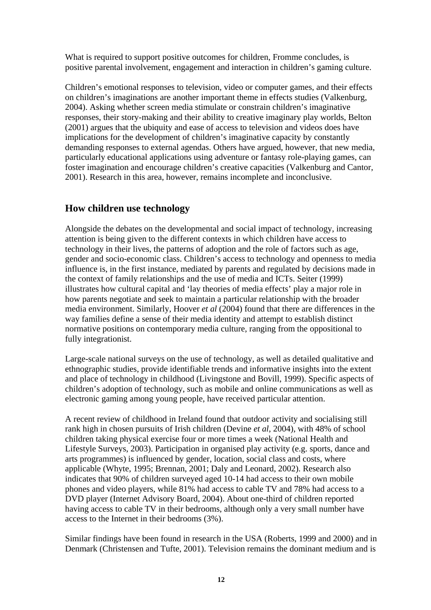What is required to support positive outcomes for children, Fromme concludes, is positive parental involvement, engagement and interaction in children's gaming culture.

Children's emotional responses to television, video or computer games, and their effects on children's imaginations are another important theme in effects studies (Valkenburg, 2004). Asking whether screen media stimulate or constrain children's imaginative responses, their story-making and their ability to creative imaginary play worlds, Belton (2001) argues that the ubiquity and ease of access to television and videos does have implications for the development of children's imaginative capacity by constantly demanding responses to external agendas. Others have argued, however, that new media, particularly educational applications using adventure or fantasy role-playing games, can foster imagination and encourage children's creative capacities (Valkenburg and Cantor, 2001). Research in this area, however, remains incomplete and inconclusive.

## **How children use technology**

Alongside the debates on the developmental and social impact of technology, increasing attention is being given to the different contexts in which children have access to technology in their lives, the patterns of adoption and the role of factors such as age, gender and socio-economic class. Children's access to technology and openness to media influence is, in the first instance, mediated by parents and regulated by decisions made in the context of family relationships and the use of media and ICTs. Seiter (1999) illustrates how cultural capital and 'lay theories of media effects' play a major role in how parents negotiate and seek to maintain a particular relationship with the broader media environment. Similarly, Hoover *et al* (2004) found that there are differences in the way families define a sense of their media identity and attempt to establish distinct normative positions on contemporary media culture, ranging from the oppositional to fully integrationist.

Large-scale national surveys on the use of technology, as well as detailed qualitative and ethnographic studies, provide identifiable trends and informative insights into the extent and place of technology in childhood (Livingstone and Bovill, 1999). Specific aspects of children's adoption of technology, such as mobile and online communications as well as electronic gaming among young people, have received particular attention.

A recent review of childhood in Ireland found that outdoor activity and socialising still rank high in chosen pursuits of Irish children (Devine *et al*, 2004), with 48% of school children taking physical exercise four or more times a week (National Health and Lifestyle Surveys, 2003). Participation in organised play activity (e.g. sports, dance and arts programmes) is influenced by gender, location, social class and costs, where applicable (Whyte, 1995; Brennan, 2001; Daly and Leonard, 2002). Research also indicates that 90% of children surveyed aged 10-14 had access to their own mobile phones and video players, while 81% had access to cable TV and 78% had access to a DVD player (Internet Advisory Board, 2004). About one-third of children reported having access to cable TV in their bedrooms, although only a very small number have access to the Internet in their bedrooms (3%).

Similar findings have been found in research in the USA (Roberts, 1999 and 2000) and in Denmark (Christensen and Tufte, 2001). Television remains the dominant medium and is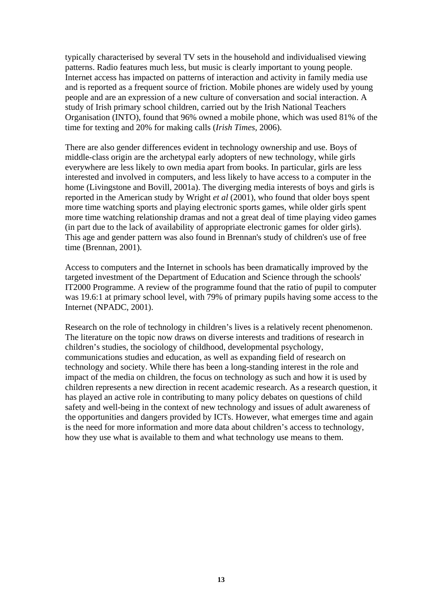typically characterised by several TV sets in the household and individualised viewing patterns. Radio features much less, but music is clearly important to young people. Internet access has impacted on patterns of interaction and activity in family media use and is reported as a frequent source of friction. Mobile phones are widely used by young people and are an expression of a new culture of conversation and social interaction. A study of Irish primary school children, carried out by the Irish National Teachers Organisation (INTO), found that 96% owned a mobile phone, which was used 81% of the time for texting and 20% for making calls (*Irish Times*, 2006).

There are also gender differences evident in technology ownership and use. Boys of middle-class origin are the archetypal early adopters of new technology, while girls everywhere are less likely to own media apart from books. In particular, girls are less interested and involved in computers, and less likely to have access to a computer in the home (Livingstone and Bovill, 2001a). The diverging media interests of boys and girls is reported in the American study by Wright *et al* (2001), who found that older boys spent more time watching sports and playing electronic sports games, while older girls spent more time watching relationship dramas and not a great deal of time playing video games (in part due to the lack of availability of appropriate electronic games for older girls). This age and gender pattern was also found in Brennan's study of children's use of free time (Brennan, 2001).

Access to computers and the Internet in schools has been dramatically improved by the targeted investment of the Department of Education and Science through the schools' IT2000 Programme. A review of the programme found that the ratio of pupil to computer was 19.6:1 at primary school level, with 79% of primary pupils having some access to the Internet (NPADC, 2001).

Research on the role of technology in children's lives is a relatively recent phenomenon. The literature on the topic now draws on diverse interests and traditions of research in children's studies, the sociology of childhood, developmental psychology, communications studies and education, as well as expanding field of research on technology and society. While there has been a long-standing interest in the role and impact of the media on children, the focus on technology as such and how it is used by children represents a new direction in recent academic research. As a research question, it has played an active role in contributing to many policy debates on questions of child safety and well-being in the context of new technology and issues of adult awareness of the opportunities and dangers provided by ICTs. However, what emerges time and again is the need for more information and more data about children's access to technology, how they use what is available to them and what technology use means to them.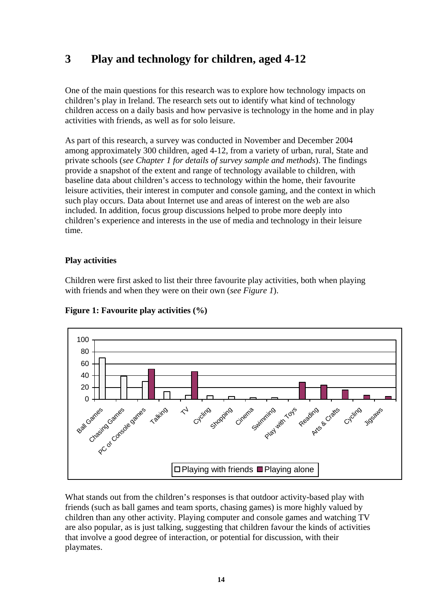## **3 Play and technology for children, aged 4-12**

One of the main questions for this research was to explore how technology impacts on children's play in Ireland. The research sets out to identify what kind of technology children access on a daily basis and how pervasive is technology in the home and in play activities with friends, as well as for solo leisure.

As part of this research, a survey was conducted in November and December 2004 among approximately 300 children, aged 4-12, from a variety of urban, rural, State and private schools (*see Chapter 1 for details of survey sample and methods*). The findings provide a snapshot of the extent and range of technology available to children, with baseline data about children's access to technology within the home, their favourite leisure activities, their interest in computer and console gaming, and the context in which such play occurs. Data about Internet use and areas of interest on the web are also included. In addition, focus group discussions helped to probe more deeply into children's experience and interests in the use of media and technology in their leisure time.

#### **Play activities**

Children were first asked to list their three favourite play activities, both when playing with friends and when they were on their own (*see Figure 1*).



#### **Figure 1: Favourite play activities (%)**

What stands out from the children's responses is that outdoor activity-based play with friends (such as ball games and team sports, chasing games) is more highly valued by children than any other activity. Playing computer and console games and watching TV are also popular, as is just talking, suggesting that children favour the kinds of activities that involve a good degree of interaction, or potential for discussion, with their playmates.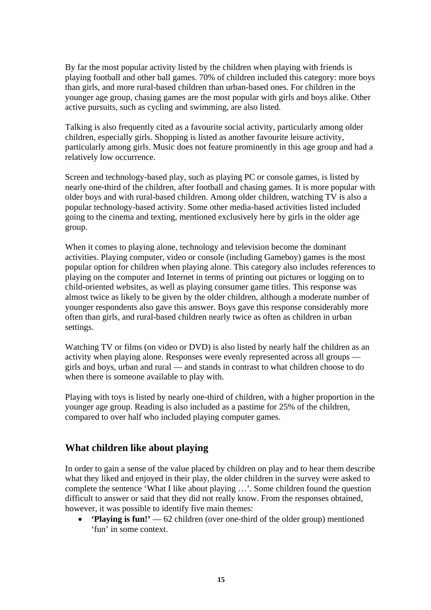By far the most popular activity listed by the children when playing with friends is playing football and other ball games. 70% of children included this category: more boys than girls, and more rural-based children than urban-based ones. For children in the younger age group, chasing games are the most popular with girls and boys alike. Other active pursuits, such as cycling and swimming, are also listed.

Talking is also frequently cited as a favourite social activity, particularly among older children, especially girls. Shopping is listed as another favourite leisure activity, particularly among girls. Music does not feature prominently in this age group and had a relatively low occurrence.

Screen and technology-based play, such as playing PC or console games, is listed by nearly one-third of the children, after football and chasing games. It is more popular with older boys and with rural-based children. Among older children, watching TV is also a popular technology-based activity. Some other media-based activities listed included going to the cinema and texting, mentioned exclusively here by girls in the older age group.

When it comes to playing alone, technology and television become the dominant activities. Playing computer, video or console (including Gameboy) games is the most popular option for children when playing alone. This category also includes references to playing on the computer and Internet in terms of printing out pictures or logging on to child-oriented websites, as well as playing consumer game titles. This response was almost twice as likely to be given by the older children, although a moderate number of younger respondents also gave this answer. Boys gave this response considerably more often than girls, and rural-based children nearly twice as often as children in urban settings.

Watching TV or films (on video or DVD) is also listed by nearly half the children as an activity when playing alone. Responses were evenly represented across all groups girls and boys, urban and rural — and stands in contrast to what children choose to do when there is someone available to play with.

Playing with toys is listed by nearly one-third of children, with a higher proportion in the younger age group. Reading is also included as a pastime for 25% of the children, compared to over half who included playing computer games.

## **What children like about playing**

In order to gain a sense of the value placed by children on play and to hear them describe what they liked and enjoyed in their play, the older children in the survey were asked to complete the sentence 'What I like about playing …'. Some children found the question difficult to answer or said that they did not really know. From the responses obtained, however, it was possible to identify five main themes:

• **'Playing is fun!'** — 62 children (over one-third of the older group) mentioned 'fun' in some context.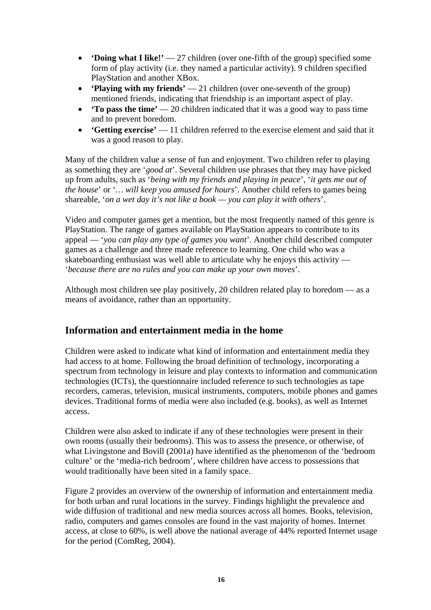- **'Doing what I like!'** 27 children (over one-fifth of the group) specified some form of play activity (i.e. they named a particular activity). 9 children specified PlayStation and another XBox.
- **'Playing with my friends'** 21 children (over one-seventh of the group) mentioned friends, indicating that friendship is an important aspect of play.
- **'To pass the time'** 20 children indicated that it was a good way to pass time and to prevent boredom.
- **'Getting exercise'** 11 children referred to the exercise element and said that it was a good reason to play.

Many of the children value a sense of fun and enjoyment. Two children refer to playing as something they are '*good at*'. Several children use phrases that they may have picked up from adults, such as '*being with my friends and playing in peace*', '*it gets me out of the house*' or '*… will keep you amused for hours*'. Another child refers to games being shareable, '*on a wet day it's not like a book — you can play it with others*'.

Video and computer games get a mention, but the most frequently named of this genre is PlayStation. The range of games available on PlayStation appears to contribute to its appeal — '*you can play any type of games you want*'. Another child described computer games as a challenge and three made reference to learning. One child who was a skateboarding enthusiast was well able to articulate why he enjoys this activity — '*because there are no rules and you can make up your own moves*'.

Although most children see play positively, 20 children related play to boredom — as a means of avoidance, rather than an opportunity.

## **Information and entertainment media in the home**

Children were asked to indicate what kind of information and entertainment media they had access to at home. Following the broad definition of technology, incorporating a spectrum from technology in leisure and play contexts to information and communication technologies (ICTs), the questionnaire included reference to such technologies as tape recorders, cameras, television, musical instruments, computers, mobile phones and games devices. Traditional forms of media were also included (e.g. books), as well as Internet access.

Children were also asked to indicate if any of these technologies were present in their own rooms (usually their bedrooms). This was to assess the presence, or otherwise, of what Livingstone and Bovill (2001a) have identified as the phenomenon of the 'bedroom culture' or the 'media-rich bedroom', where children have access to possessions that would traditionally have been sited in a family space.

Figure 2 provides an overview of the ownership of information and entertainment media for both urban and rural locations in the survey. Findings highlight the prevalence and wide diffusion of traditional and new media sources across all homes. Books, television, radio, computers and games consoles are found in the vast majority of homes. Internet access, at close to 60%, is well above the national average of 44% reported Internet usage for the period (ComReg, 2004).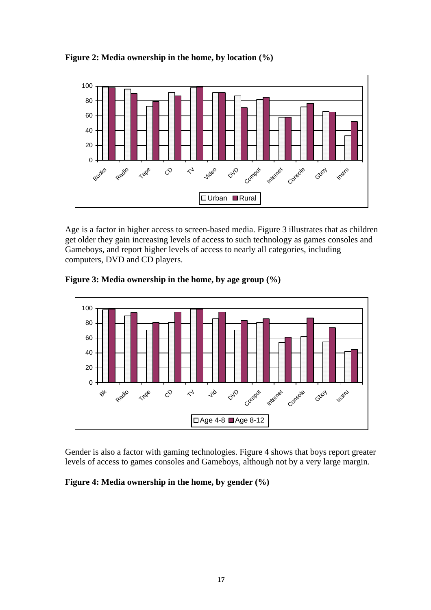**Figure 2: Media ownership in the home, by location (%)** 



Age is a factor in higher access to screen-based media. Figure 3 illustrates that as children get older they gain increasing levels of access to such technology as games consoles and Gameboys, and report higher levels of access to nearly all categories, including computers, DVD and CD players.





Gender is also a factor with gaming technologies. Figure 4 shows that boys report greater levels of access to games consoles and Gameboys, although not by a very large margin.

## **Figure 4: Media ownership in the home, by gender (%)**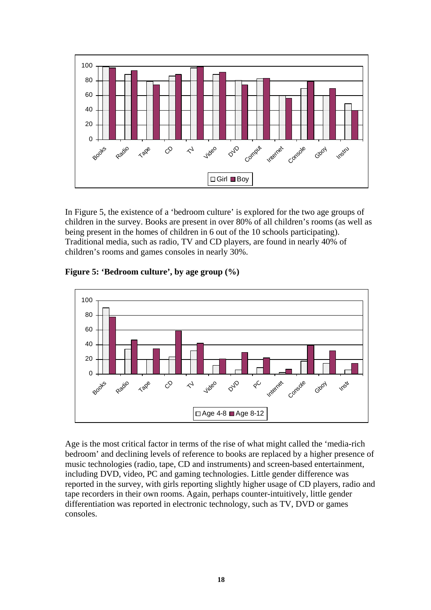

In Figure 5, the existence of a 'bedroom culture' is explored for the two age groups of children in the survey. Books are present in over 80% of all children's rooms (as well as being present in the homes of children in 6 out of the 10 schools participating). Traditional media, such as radio, TV and CD players, are found in nearly 40% of children's rooms and games consoles in nearly 30%.

**Figure 5: 'Bedroom culture', by age group (%)** 



Age is the most critical factor in terms of the rise of what might called the 'media-rich bedroom' and declining levels of reference to books are replaced by a higher presence of music technologies (radio, tape, CD and instruments) and screen-based entertainment, including DVD, video, PC and gaming technologies. Little gender difference was reported in the survey, with girls reporting slightly higher usage of CD players, radio and tape recorders in their own rooms. Again, perhaps counter-intuitively, little gender differentiation was reported in electronic technology, such as TV, DVD or games consoles.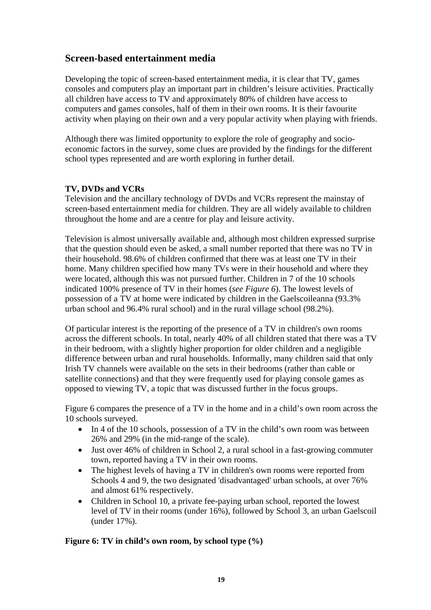## **Screen-based entertainment media**

Developing the topic of screen-based entertainment media, it is clear that TV, games consoles and computers play an important part in children's leisure activities. Practically all children have access to TV and approximately 80% of children have access to computers and games consoles, half of them in their own rooms. It is their favourite activity when playing on their own and a very popular activity when playing with friends.

Although there was limited opportunity to explore the role of geography and socioeconomic factors in the survey, some clues are provided by the findings for the different school types represented and are worth exploring in further detail.

### **TV, DVDs and VCRs**

Television and the ancillary technology of DVDs and VCRs represent the mainstay of screen-based entertainment media for children. They are all widely available to children throughout the home and are a centre for play and leisure activity.

Television is almost universally available and, although most children expressed surprise that the question should even be asked, a small number reported that there was no TV in their household. 98.6% of children confirmed that there was at least one TV in their home. Many children specified how many TVs were in their household and where they were located, although this was not pursued further. Children in 7 of the 10 schools indicated 100% presence of TV in their homes (*see Figure 6*). The lowest levels of possession of a TV at home were indicated by children in the Gaelscoileanna (93.3% urban school and 96.4% rural school) and in the rural village school (98.2%).

Of particular interest is the reporting of the presence of a TV in children's own rooms across the different schools. In total, nearly 40% of all children stated that there was a TV in their bedroom, with a slightly higher proportion for older children and a negligible difference between urban and rural households. Informally, many children said that only Irish TV channels were available on the sets in their bedrooms (rather than cable or satellite connections) and that they were frequently used for playing console games as opposed to viewing TV, a topic that was discussed further in the focus groups.

Figure 6 compares the presence of a TV in the home and in a child's own room across the 10 schools surveyed.

- In 4 of the 10 schools, possession of a TV in the child's own room was between 26% and 29% (in the mid-range of the scale).
- Just over 46% of children in School 2, a rural school in a fast-growing commuter town, reported having a TV in their own rooms.
- The highest levels of having a TV in children's own rooms were reported from Schools 4 and 9, the two designated 'disadvantaged' urban schools, at over 76% and almost 61% respectively.
- Children in School 10, a private fee-paying urban school, reported the lowest level of TV in their rooms (under 16%), followed by School 3, an urban Gaelscoil (under 17%).

#### **Figure 6: TV in child's own room, by school type (%)**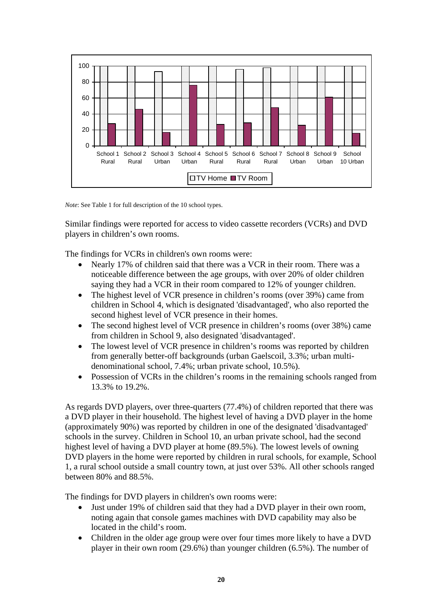

*Note*: See Table 1 for full description of the 10 school types.

Similar findings were reported for access to video cassette recorders (VCRs) and DVD players in children's own rooms.

The findings for VCRs in children's own rooms were:

- Nearly 17% of children said that there was a VCR in their room. There was a noticeable difference between the age groups, with over 20% of older children saying they had a VCR in their room compared to 12% of younger children.
- The highest level of VCR presence in children's rooms (over 39%) came from children in School 4, which is designated 'disadvantaged', who also reported the second highest level of VCR presence in their homes.
- The second highest level of VCR presence in children's rooms (over 38%) came from children in School 9, also designated 'disadvantaged'.
- The lowest level of VCR presence in children's rooms was reported by children from generally better-off backgrounds (urban Gaelscoil, 3.3%; urban multidenominational school, 7.4%; urban private school, 10.5%).
- Possession of VCRs in the children's rooms in the remaining schools ranged from 13.3% to 19.2%.

As regards DVD players, over three-quarters (77.4%) of children reported that there was a DVD player in their household. The highest level of having a DVD player in the home (approximately 90%) was reported by children in one of the designated 'disadvantaged' schools in the survey. Children in School 10, an urban private school, had the second highest level of having a DVD player at home (89.5%). The lowest levels of owning DVD players in the home were reported by children in rural schools, for example, School 1, a rural school outside a small country town, at just over 53%. All other schools ranged between 80% and 88.5%.

The findings for DVD players in children's own rooms were:

- Just under 19% of children said that they had a DVD player in their own room, noting again that console games machines with DVD capability may also be located in the child's room.
- Children in the older age group were over four times more likely to have a DVD player in their own room (29.6%) than younger children (6.5%). The number of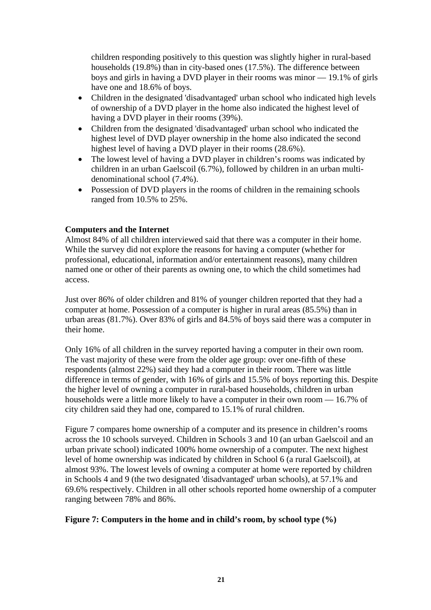children responding positively to this question was slightly higher in rural-based households (19.8%) than in city-based ones (17.5%). The difference between boys and girls in having a DVD player in their rooms was minor — 19.1% of girls have one and 18.6% of boys.

- Children in the designated 'disadvantaged' urban school who indicated high levels of ownership of a DVD player in the home also indicated the highest level of having a DVD player in their rooms (39%).
- Children from the designated 'disadvantaged' urban school who indicated the highest level of DVD player ownership in the home also indicated the second highest level of having a DVD player in their rooms (28.6%).
- The lowest level of having a DVD player in children's rooms was indicated by children in an urban Gaelscoil (6.7%), followed by children in an urban multidenominational school (7.4%).
- Possession of DVD players in the rooms of children in the remaining schools ranged from 10.5% to 25%.

#### **Computers and the Internet**

Almost 84% of all children interviewed said that there was a computer in their home. While the survey did not explore the reasons for having a computer (whether for professional, educational, information and/or entertainment reasons), many children named one or other of their parents as owning one, to which the child sometimes had access.

Just over 86% of older children and 81% of younger children reported that they had a computer at home. Possession of a computer is higher in rural areas (85.5%) than in urban areas (81.7%). Over 83% of girls and 84.5% of boys said there was a computer in their home.

Only 16% of all children in the survey reported having a computer in their own room. The vast majority of these were from the older age group: over one-fifth of these respondents (almost 22%) said they had a computer in their room. There was little difference in terms of gender, with 16% of girls and 15.5% of boys reporting this. Despite the higher level of owning a computer in rural-based households, children in urban households were a little more likely to have a computer in their own room — 16.7% of city children said they had one, compared to 15.1% of rural children.

Figure 7 compares home ownership of a computer and its presence in children's rooms across the 10 schools surveyed. Children in Schools 3 and 10 (an urban Gaelscoil and an urban private school) indicated 100% home ownership of a computer. The next highest level of home ownership was indicated by children in School 6 (a rural Gaelscoil), at almost 93%. The lowest levels of owning a computer at home were reported by children in Schools 4 and 9 (the two designated 'disadvantaged' urban schools), at 57.1% and 69.6% respectively. Children in all other schools reported home ownership of a computer ranging between 78% and 86%.

#### **Figure 7: Computers in the home and in child's room, by school type (%)**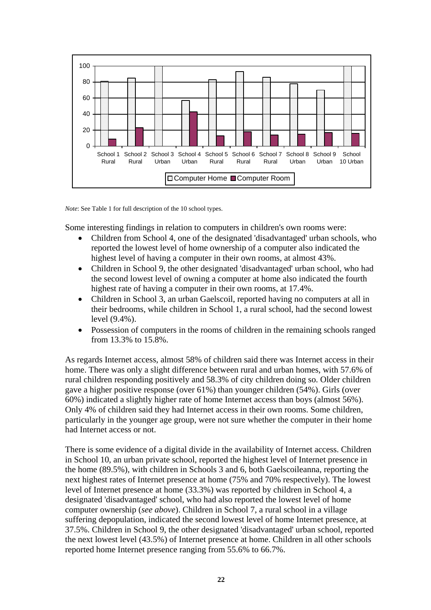

*Note*: See Table 1 for full description of the 10 school types.

Some interesting findings in relation to computers in children's own rooms were:

- Children from School 4, one of the designated 'disadvantaged' urban schools, who reported the lowest level of home ownership of a computer also indicated the highest level of having a computer in their own rooms, at almost 43%.
- Children in School 9, the other designated 'disadvantaged' urban school, who had the second lowest level of owning a computer at home also indicated the fourth highest rate of having a computer in their own rooms, at 17.4%.
- Children in School 3, an urban Gaelscoil, reported having no computers at all in their bedrooms, while children in School 1, a rural school, had the second lowest level (9.4%).
- Possession of computers in the rooms of children in the remaining schools ranged from 13.3% to 15.8%.

As regards Internet access, almost 58% of children said there was Internet access in their home. There was only a slight difference between rural and urban homes, with 57.6% of rural children responding positively and 58.3% of city children doing so. Older children gave a higher positive response (over 61%) than younger children (54%). Girls (over 60%) indicated a slightly higher rate of home Internet access than boys (almost 56%). Only 4% of children said they had Internet access in their own rooms. Some children, particularly in the younger age group, were not sure whether the computer in their home had Internet access or not.

There is some evidence of a digital divide in the availability of Internet access. Children in School 10, an urban private school, reported the highest level of Internet presence in the home (89.5%), with children in Schools 3 and 6, both Gaelscoileanna, reporting the next highest rates of Internet presence at home (75% and 70% respectively). The lowest level of Internet presence at home (33.3%) was reported by children in School 4, a designated 'disadvantaged' school, who had also reported the lowest level of home computer ownership (*see above*). Children in School 7, a rural school in a village suffering depopulation, indicated the second lowest level of home Internet presence, at 37.5%. Children in School 9, the other designated 'disadvantaged' urban school, reported the next lowest level (43.5%) of Internet presence at home. Children in all other schools reported home Internet presence ranging from 55.6% to 66.7%.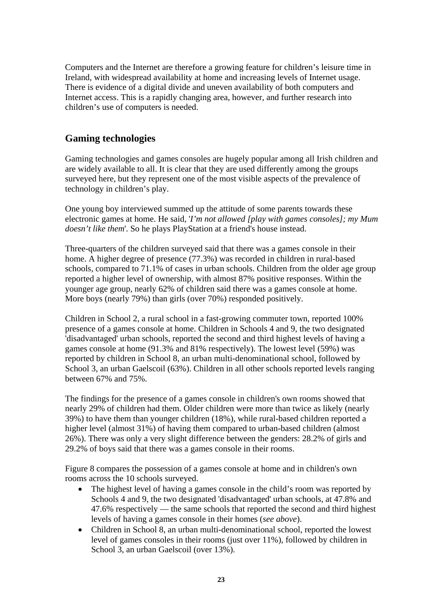Computers and the Internet are therefore a growing feature for children's leisure time in Ireland, with widespread availability at home and increasing levels of Internet usage. There is evidence of a digital divide and uneven availability of both computers and Internet access. This is a rapidly changing area, however, and further research into children's use of computers is needed.

## **Gaming technologies**

Gaming technologies and games consoles are hugely popular among all Irish children and are widely available to all. It is clear that they are used differently among the groups surveyed here, but they represent one of the most visible aspects of the prevalence of technology in children's play.

One young boy interviewed summed up the attitude of some parents towards these electronic games at home. He said, '*I'm not allowed [play with games consoles]; my Mum doesn't like them*'. So he plays PlayStation at a friend's house instead.

Three-quarters of the children surveyed said that there was a games console in their home. A higher degree of presence (77.3%) was recorded in children in rural-based schools, compared to 71.1% of cases in urban schools. Children from the older age group reported a higher level of ownership, with almost 87% positive responses. Within the younger age group, nearly 62% of children said there was a games console at home. More boys (nearly 79%) than girls (over 70%) responded positively.

Children in School 2, a rural school in a fast-growing commuter town, reported 100% presence of a games console at home. Children in Schools 4 and 9, the two designated 'disadvantaged' urban schools, reported the second and third highest levels of having a games console at home (91.3% and 81% respectively). The lowest level (59%) was reported by children in School 8, an urban multi-denominational school, followed by School 3, an urban Gaelscoil (63%). Children in all other schools reported levels ranging between 67% and 75%.

The findings for the presence of a games console in children's own rooms showed that nearly 29% of children had them. Older children were more than twice as likely (nearly 39%) to have them than younger children (18%), while rural-based children reported a higher level (almost 31%) of having them compared to urban-based children (almost 26%). There was only a very slight difference between the genders: 28.2% of girls and 29.2% of boys said that there was a games console in their rooms.

Figure 8 compares the possession of a games console at home and in children's own rooms across the 10 schools surveyed.

- The highest level of having a games console in the child's room was reported by Schools 4 and 9, the two designated 'disadvantaged' urban schools, at 47.8% and 47.6% respectively — the same schools that reported the second and third highest levels of having a games console in their homes (*see above*).
- Children in School 8, an urban multi-denominational school, reported the lowest level of games consoles in their rooms (just over 11%), followed by children in School 3, an urban Gaelscoil (over 13%).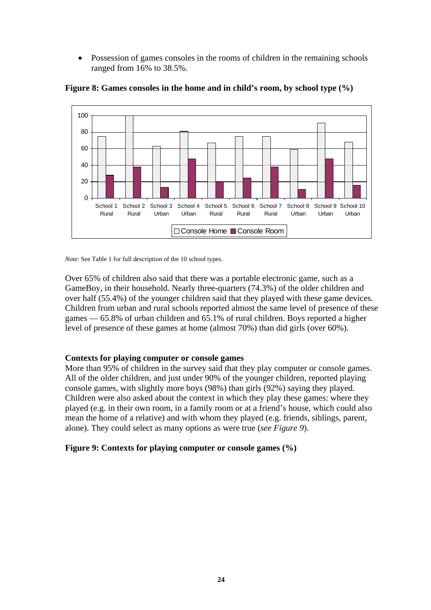• Possession of games consoles in the rooms of children in the remaining schools ranged from 16% to 38.5%.





*Note*: See Table 1 for full description of the 10 school types.

Over 65% of children also said that there was a portable electronic game, such as a GameBoy, in their household. Nearly three-quarters (74.3%) of the older children and over half (55.4%) of the younger children said that they played with these game devices. Children from urban and rural schools reported almost the same level of presence of these games — 65.8% of urban children and 65.1% of rural children. Boys reported a higher level of presence of these games at home (almost 70%) than did girls (over 60%).

#### **Contexts for playing computer or console games**

More than 95% of children in the survey said that they play computer or console games. All of the older children, and just under 90% of the younger children, reported playing console games, with slightly more boys (98%) than girls (92%) saying they played. Children were also asked about the context in which they play these games: where they played (e.g. in their own room, in a family room or at a friend's house, which could also mean the home of a relative) and with whom they played (e.g. friends, siblings, parent, alone). They could select as many options as were true (*see Figure 9*).

#### **Figure 9: Contexts for playing computer or console games (%)**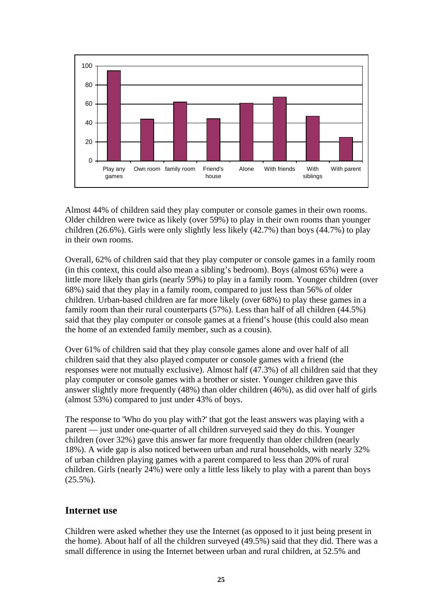

Almost 44% of children said they play computer or console games in their own rooms. Older children were twice as likely (over 59%) to play in their own rooms than younger children (26.6%). Girls were only slightly less likely (42.7%) than boys (44.7%) to play in their own rooms.

Overall, 62% of children said that they play computer or console games in a family room (in this context, this could also mean a sibling's bedroom). Boys (almost 65%) were a little more likely than girls (nearly 59%) to play in a family room. Younger children (over 68%) said that they play in a family room, compared to just less than 56% of older children. Urban-based children are far more likely (over 68%) to play these games in a family room than their rural counterparts (57%). Less than half of all children (44.5%) said that they play computer or console games at a friend's house (this could also mean the home of an extended family member, such as a cousin).

Over 61% of children said that they play console games alone and over half of all children said that they also played computer or console games with a friend (the responses were not mutually exclusive). Almost half (47.3%) of all children said that they play computer or console games with a brother or sister. Younger children gave this answer slightly more frequently (48%) than older children (46%), as did over half of girls (almost 53%) compared to just under 43% of boys.

The response to 'Who do you play with?' that got the least answers was playing with a parent — just under one-quarter of all children surveyed said they do this. Younger children (over 32%) gave this answer far more frequently than older children (nearly 18%). A wide gap is also noticed between urban and rural households, with nearly 32% of urban children playing games with a parent compared to less than 20% of rural children. Girls (nearly 24%) were only a little less likely to play with a parent than boys  $(25.5\%)$ .

## **Internet use**

Children were asked whether they use the Internet (as opposed to it just being present in the home). About half of all the children surveyed (49.5%) said that they did. There was a small difference in using the Internet between urban and rural children, at 52.5% and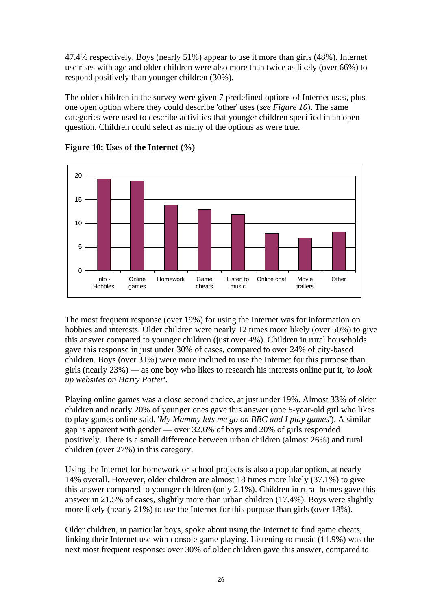47.4% respectively. Boys (nearly 51%) appear to use it more than girls (48%). Internet use rises with age and older children were also more than twice as likely (over 66%) to respond positively than younger children (30%).

The older children in the survey were given 7 predefined options of Internet uses, plus one open option where they could describe 'other' uses (*see Figure 10*). The same categories were used to describe activities that younger children specified in an open question. Children could select as many of the options as were true.



**Figure 10: Uses of the Internet (%)** 

The most frequent response (over 19%) for using the Internet was for information on hobbies and interests. Older children were nearly 12 times more likely (over 50%) to give this answer compared to younger children (just over 4%). Children in rural households gave this response in just under 30% of cases, compared to over 24% of city-based children. Boys (over 31%) were more inclined to use the Internet for this purpose than girls (nearly 23%) — as one boy who likes to research his interests online put it, '*to look up websites on Harry Potter*'.

Playing online games was a close second choice, at just under 19%. Almost 33% of older children and nearly 20% of younger ones gave this answer (one 5-year-old girl who likes to play games online said, '*My Mammy lets me go on BBC and I play games*'). A similar gap is apparent with gender — over 32.6% of boys and 20% of girls responded positively. There is a small difference between urban children (almost 26%) and rural children (over 27%) in this category.

Using the Internet for homework or school projects is also a popular option, at nearly 14% overall. However, older children are almost 18 times more likely (37.1%) to give this answer compared to younger children (only 2.1%). Children in rural homes gave this answer in 21.5% of cases, slightly more than urban children (17.4%). Boys were slightly more likely (nearly 21%) to use the Internet for this purpose than girls (over 18%).

Older children, in particular boys, spoke about using the Internet to find game cheats, linking their Internet use with console game playing. Listening to music (11.9%) was the next most frequent response: over 30% of older children gave this answer, compared to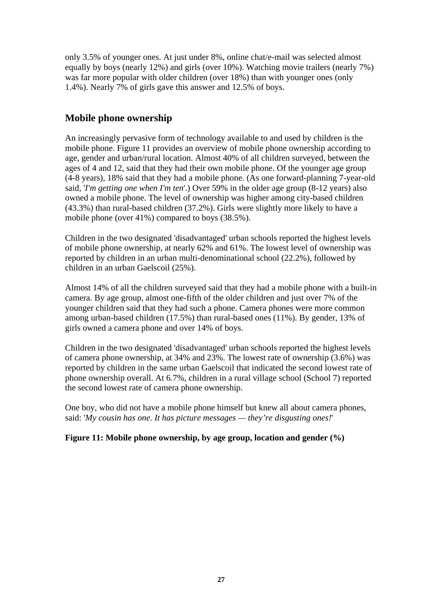only 3.5% of younger ones. At just under 8%, online chat/e-mail was selected almost equally by boys (nearly 12%) and girls (over 10%). Watching movie trailers (nearly 7%) was far more popular with older children (over 18%) than with younger ones (only 1.4%). Nearly 7% of girls gave this answer and 12.5% of boys.

## **Mobile phone ownership**

An increasingly pervasive form of technology available to and used by children is the mobile phone. Figure 11 provides an overview of mobile phone ownership according to age, gender and urban/rural location. Almost 40% of all children surveyed, between the ages of 4 and 12, said that they had their own mobile phone. Of the younger age group (4-8 years), 18% said that they had a mobile phone. (As one forward-planning 7-year-old said, '*I'm getting one when I'm ten*'.) Over 59% in the older age group (8-12 years) also owned a mobile phone. The level of ownership was higher among city-based children (43.3%) than rural-based children (37.2%). Girls were slightly more likely to have a mobile phone (over 41%) compared to boys (38.5%).

Children in the two designated 'disadvantaged' urban schools reported the highest levels of mobile phone ownership, at nearly 62% and 61%. The lowest level of ownership was reported by children in an urban multi-denominational school (22.2%), followed by children in an urban Gaelscoil (25%).

Almost 14% of all the children surveyed said that they had a mobile phone with a built-in camera. By age group, almost one-fifth of the older children and just over 7% of the younger children said that they had such a phone. Camera phones were more common among urban-based children (17.5%) than rural-based ones (11%). By gender, 13% of girls owned a camera phone and over 14% of boys.

Children in the two designated 'disadvantaged' urban schools reported the highest levels of camera phone ownership, at 34% and 23%. The lowest rate of ownership (3.6%) was reported by children in the same urban Gaelscoil that indicated the second lowest rate of phone ownership overall. At 6.7%, children in a rural village school (School 7) reported the second lowest rate of camera phone ownership.

One boy, who did not have a mobile phone himself but knew all about camera phones, said: '*My cousin has one. It has picture messages — they're disgusting ones!*'

#### **Figure 11: Mobile phone ownership, by age group, location and gender (%)**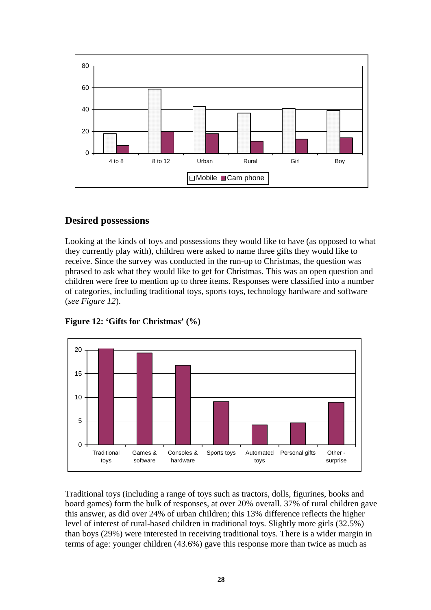

## **Desired possessions**

Looking at the kinds of toys and possessions they would like to have (as opposed to what they currently play with), children were asked to name three gifts they would like to receive. Since the survey was conducted in the run-up to Christmas, the question was phrased to ask what they would like to get for Christmas. This was an open question and children were free to mention up to three items. Responses were classified into a number of categories, including traditional toys, sports toys, technology hardware and software (*see Figure 12*).



**Figure 12: 'Gifts for Christmas' (%)** 

Traditional toys (including a range of toys such as tractors, dolls, figurines, books and board games) form the bulk of responses, at over 20% overall. 37% of rural children gave this answer, as did over 24% of urban children; this 13% difference reflects the higher level of interest of rural-based children in traditional toys. Slightly more girls (32.5%) than boys (29%) were interested in receiving traditional toys. There is a wider margin in terms of age: younger children (43.6%) gave this response more than twice as much as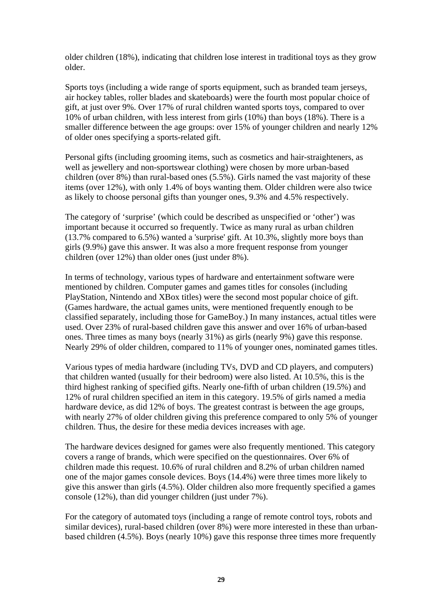older children (18%), indicating that children lose interest in traditional toys as they grow older.

Sports toys (including a wide range of sports equipment, such as branded team jerseys, air hockey tables, roller blades and skateboards) were the fourth most popular choice of gift, at just over 9%. Over 17% of rural children wanted sports toys, compared to over 10% of urban children, with less interest from girls (10%) than boys (18%). There is a smaller difference between the age groups: over 15% of younger children and nearly 12% of older ones specifying a sports-related gift.

Personal gifts (including grooming items, such as cosmetics and hair-straighteners, as well as jewellery and non-sportswear clothing) were chosen by more urban-based children (over 8%) than rural-based ones (5.5%). Girls named the vast majority of these items (over 12%), with only 1.4% of boys wanting them. Older children were also twice as likely to choose personal gifts than younger ones, 9.3% and 4.5% respectively.

The category of 'surprise' (which could be described as unspecified or 'other') was important because it occurred so frequently. Twice as many rural as urban children (13.7% compared to 6.5%) wanted a 'surprise' gift. At 10.3%, slightly more boys than girls (9.9%) gave this answer. It was also a more frequent response from younger children (over 12%) than older ones (just under 8%).

In terms of technology, various types of hardware and entertainment software were mentioned by children. Computer games and games titles for consoles (including PlayStation, Nintendo and XBox titles) were the second most popular choice of gift. (Games hardware, the actual games units, were mentioned frequently enough to be classified separately, including those for GameBoy.) In many instances, actual titles were used. Over 23% of rural-based children gave this answer and over 16% of urban-based ones. Three times as many boys (nearly 31%) as girls (nearly 9%) gave this response. Nearly 29% of older children, compared to 11% of younger ones, nominated games titles.

Various types of media hardware (including TVs, DVD and CD players, and computers) that children wanted (usually for their bedroom) were also listed. At 10.5%, this is the third highest ranking of specified gifts. Nearly one-fifth of urban children (19.5%) and 12% of rural children specified an item in this category. 19.5% of girls named a media hardware device, as did 12% of boys. The greatest contrast is between the age groups, with nearly 27% of older children giving this preference compared to only 5% of younger children. Thus, the desire for these media devices increases with age.

The hardware devices designed for games were also frequently mentioned. This category covers a range of brands, which were specified on the questionnaires. Over 6% of children made this request. 10.6% of rural children and 8.2% of urban children named one of the major games console devices. Boys (14.4%) were three times more likely to give this answer than girls (4.5%). Older children also more frequently specified a games console (12%), than did younger children (just under 7%).

For the category of automated toys (including a range of remote control toys, robots and similar devices), rural-based children (over 8%) were more interested in these than urbanbased children (4.5%). Boys (nearly 10%) gave this response three times more frequently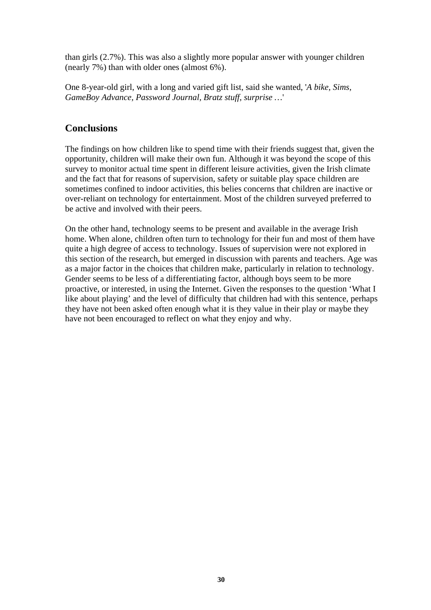than girls (2.7%). This was also a slightly more popular answer with younger children (nearly 7%) than with older ones (almost 6%).

One 8-year-old girl, with a long and varied gift list, said she wanted, '*A bike, Sims, GameBoy Advance, Password Journal, Bratz stuff, surprise …*'

## **Conclusions**

The findings on how children like to spend time with their friends suggest that, given the opportunity, children will make their own fun. Although it was beyond the scope of this survey to monitor actual time spent in different leisure activities, given the Irish climate and the fact that for reasons of supervision, safety or suitable play space children are sometimes confined to indoor activities, this belies concerns that children are inactive or over-reliant on technology for entertainment. Most of the children surveyed preferred to be active and involved with their peers.

On the other hand, technology seems to be present and available in the average Irish home. When alone, children often turn to technology for their fun and most of them have quite a high degree of access to technology. Issues of supervision were not explored in this section of the research, but emerged in discussion with parents and teachers. Age was as a major factor in the choices that children make, particularly in relation to technology. Gender seems to be less of a differentiating factor, although boys seem to be more proactive, or interested, in using the Internet. Given the responses to the question 'What I like about playing' and the level of difficulty that children had with this sentence, perhaps they have not been asked often enough what it is they value in their play or maybe they have not been encouraged to reflect on what they enjoy and why.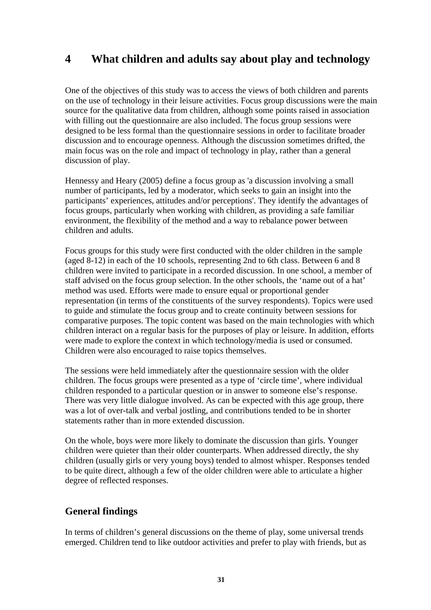## **4 What children and adults say about play and technology**

One of the objectives of this study was to access the views of both children and parents on the use of technology in their leisure activities. Focus group discussions were the main source for the qualitative data from children, although some points raised in association with filling out the questionnaire are also included. The focus group sessions were designed to be less formal than the questionnaire sessions in order to facilitate broader discussion and to encourage openness. Although the discussion sometimes drifted, the main focus was on the role and impact of technology in play, rather than a general discussion of play.

Hennessy and Heary (2005) define a focus group as 'a discussion involving a small number of participants, led by a moderator, which seeks to gain an insight into the participants' experiences, attitudes and/or perceptions'. They identify the advantages of focus groups, particularly when working with children, as providing a safe familiar environment, the flexibility of the method and a way to rebalance power between children and adults.

Focus groups for this study were first conducted with the older children in the sample (aged 8-12) in each of the 10 schools, representing 2nd to 6th class. Between 6 and 8 children were invited to participate in a recorded discussion. In one school, a member of staff advised on the focus group selection. In the other schools, the 'name out of a hat' method was used. Efforts were made to ensure equal or proportional gender representation (in terms of the constituents of the survey respondents). Topics were used to guide and stimulate the focus group and to create continuity between sessions for comparative purposes. The topic content was based on the main technologies with which children interact on a regular basis for the purposes of play or leisure. In addition, efforts were made to explore the context in which technology/media is used or consumed. Children were also encouraged to raise topics themselves.

The sessions were held immediately after the questionnaire session with the older children. The focus groups were presented as a type of 'circle time', where individual children responded to a particular question or in answer to someone else's response. There was very little dialogue involved. As can be expected with this age group, there was a lot of over-talk and verbal jostling, and contributions tended to be in shorter statements rather than in more extended discussion.

On the whole, boys were more likely to dominate the discussion than girls. Younger children were quieter than their older counterparts. When addressed directly, the shy children (usually girls or very young boys) tended to almost whisper. Responses tended to be quite direct, although a few of the older children were able to articulate a higher degree of reflected responses.

## **General findings**

In terms of children's general discussions on the theme of play, some universal trends emerged. Children tend to like outdoor activities and prefer to play with friends, but as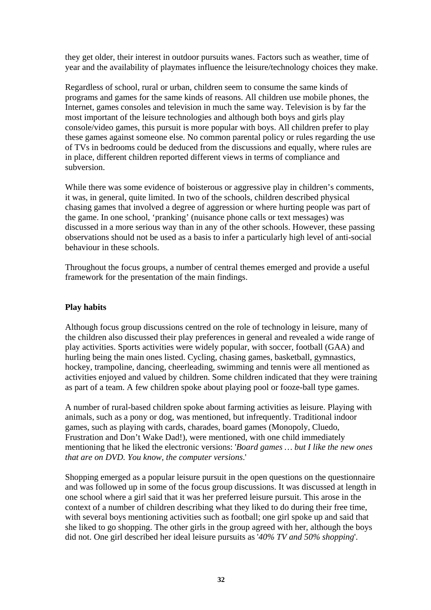they get older, their interest in outdoor pursuits wanes. Factors such as weather, time of year and the availability of playmates influence the leisure/technology choices they make.

Regardless of school, rural or urban, children seem to consume the same kinds of programs and games for the same kinds of reasons. All children use mobile phones, the Internet, games consoles and television in much the same way. Television is by far the most important of the leisure technologies and although both boys and girls play console/video games, this pursuit is more popular with boys. All children prefer to play these games against someone else. No common parental policy or rules regarding the use of TVs in bedrooms could be deduced from the discussions and equally, where rules are in place, different children reported different views in terms of compliance and subversion.

While there was some evidence of boisterous or aggressive play in children's comments, it was, in general, quite limited. In two of the schools, children described physical chasing games that involved a degree of aggression or where hurting people was part of the game. In one school, 'pranking' (nuisance phone calls or text messages) was discussed in a more serious way than in any of the other schools. However, these passing observations should not be used as a basis to infer a particularly high level of anti-social behaviour in these schools.

Throughout the focus groups, a number of central themes emerged and provide a useful framework for the presentation of the main findings.

#### **Play habits**

Although focus group discussions centred on the role of technology in leisure, many of the children also discussed their play preferences in general and revealed a wide range of play activities. Sports activities were widely popular, with soccer, football (GAA) and hurling being the main ones listed. Cycling, chasing games, basketball, gymnastics, hockey, trampoline, dancing, cheerleading, swimming and tennis were all mentioned as activities enjoyed and valued by children. Some children indicated that they were training as part of a team. A few children spoke about playing pool or fooze-ball type games.

A number of rural-based children spoke about farming activities as leisure. Playing with animals, such as a pony or dog, was mentioned, but infrequently. Traditional indoor games, such as playing with cards, charades, board games (Monopoly, Cluedo, Frustration and Don't Wake Dad!), were mentioned, with one child immediately mentioning that he liked the electronic versions: '*Board games … but I like the new ones that are on DVD. You know, the computer versions*.'

Shopping emerged as a popular leisure pursuit in the open questions on the questionnaire and was followed up in some of the focus group discussions. It was discussed at length in one school where a girl said that it was her preferred leisure pursuit. This arose in the context of a number of children describing what they liked to do during their free time, with several boys mentioning activities such as football; one girl spoke up and said that she liked to go shopping. The other girls in the group agreed with her, although the boys did not. One girl described her ideal leisure pursuits as '*40% TV and 50% shopping*'.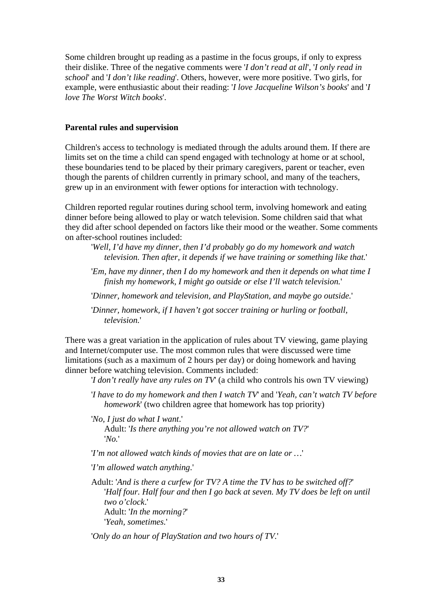Some children brought up reading as a pastime in the focus groups, if only to express their dislike. Three of the negative comments were '*I don't read at all*', '*I only read in school*' and '*I don't like reading*'. Others, however, were more positive. Two girls, for example, were enthusiastic about their reading: '*I love Jacqueline Wilson's books*' and '*I love The Worst Witch books*'.

#### **Parental rules and supervision**

Children's access to technology is mediated through the adults around them. If there are limits set on the time a child can spend engaged with technology at home or at school, these boundaries tend to be placed by their primary caregivers, parent or teacher, even though the parents of children currently in primary school, and many of the teachers, grew up in an environment with fewer options for interaction with technology.

Children reported regular routines during school term, involving homework and eating dinner before being allowed to play or watch television. Some children said that what they did after school depended on factors like their mood or the weather. Some comments on after-school routines included:

'*Well, I'd have my dinner, then I'd probably go do my homework and watch television. Then after, it depends if we have training or something like that.*'

- '*Em, have my dinner, then I do my homework and then it depends on what time I finish my homework, I might go outside or else I'll watch television.*'
- '*Dinner, homework and television, and PlayStation, and maybe go outside.*'
- '*Dinner, homework, if I haven't got soccer training or hurling or football, television.*'

There was a great variation in the application of rules about TV viewing, game playing and Internet/computer use. The most common rules that were discussed were time limitations (such as a maximum of 2 hours per day) or doing homework and having dinner before watching television. Comments included:

'*I don't really have any rules on TV*' (a child who controls his own TV viewing)

'*I have to do my homework and then I watch TV*' and '*Yeah, can't watch TV before homework*' (two children agree that homework has top priority)

'*No, I just do what I want*.' Adult: '*Is there anything you're not allowed watch on TV?*' '*No.*'

'*I'm not allowed watch kinds of movies that are on late or …*'

'*I'm allowed watch anything*.'

Adult: '*And is there a curfew for TV? A time the TV has to be switched off?*' '*Half four. Half four and then I go back at seven. My TV does be left on until two o'clock*.' Adult: '*In the morning?*'

'*Yeah, sometimes.*'

'*Only do an hour of PlayStation and two hours of TV.*'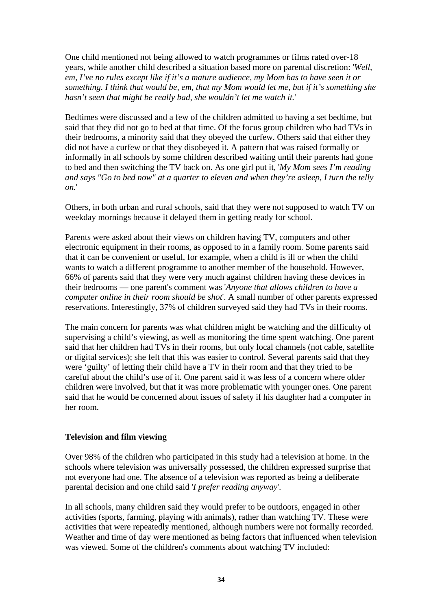One child mentioned not being allowed to watch programmes or films rated over-18 years, while another child described a situation based more on parental discretion: '*Well, em, I've no rules except like if it's a mature audience, my Mom has to have seen it or something. I think that would be, em, that my Mom would let me, but if it's something she hasn't seen that might be really bad, she wouldn't let me watch it.*'

Bedtimes were discussed and a few of the children admitted to having a set bedtime, but said that they did not go to bed at that time. Of the focus group children who had TVs in their bedrooms, a minority said that they obeyed the curfew. Others said that either they did not have a curfew or that they disobeyed it. A pattern that was raised formally or informally in all schools by some children described waiting until their parents had gone to bed and then switching the TV back on. As one girl put it, '*My Mom sees I'm reading and says "Go to bed now" at a quarter to eleven and when they're asleep, I turn the telly on.*'

Others, in both urban and rural schools, said that they were not supposed to watch TV on weekday mornings because it delayed them in getting ready for school.

Parents were asked about their views on children having TV, computers and other electronic equipment in their rooms, as opposed to in a family room. Some parents said that it can be convenient or useful, for example, when a child is ill or when the child wants to watch a different programme to another member of the household. However, 66% of parents said that they were very much against children having these devices in their bedrooms — one parent's comment was '*Anyone that allows children to have a computer online in their room should be shot*'. A small number of other parents expressed reservations. Interestingly, 37% of children surveyed said they had TVs in their rooms.

The main concern for parents was what children might be watching and the difficulty of supervising a child's viewing, as well as monitoring the time spent watching. One parent said that her children had TVs in their rooms, but only local channels (not cable, satellite or digital services); she felt that this was easier to control. Several parents said that they were 'guilty' of letting their child have a TV in their room and that they tried to be careful about the child's use of it. One parent said it was less of a concern where older children were involved, but that it was more problematic with younger ones. One parent said that he would be concerned about issues of safety if his daughter had a computer in her room.

#### **Television and film viewing**

Over 98% of the children who participated in this study had a television at home. In the schools where television was universally possessed, the children expressed surprise that not everyone had one. The absence of a television was reported as being a deliberate parental decision and one child said '*I prefer reading anyway*'.

In all schools, many children said they would prefer to be outdoors, engaged in other activities (sports, farming, playing with animals), rather than watching TV. These were activities that were repeatedly mentioned, although numbers were not formally recorded. Weather and time of day were mentioned as being factors that influenced when television was viewed. Some of the children's comments about watching TV included: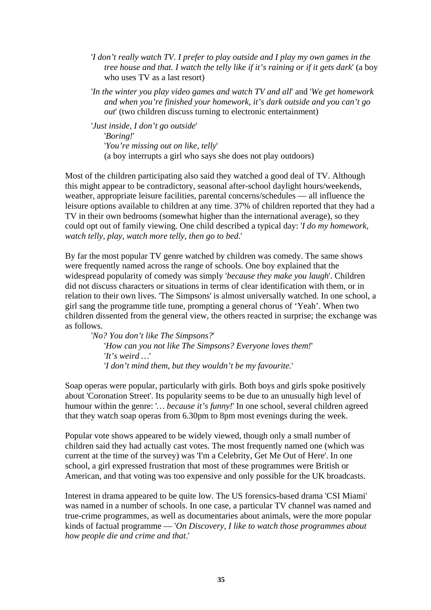- '*I don't really watch TV. I prefer to play outside and I play my own games in the tree house and that. I watch the telly like if it's raining or if it gets dark*' (a boy who uses TV as a last resort)
- '*In the winter you play video games and watch TV and all*' and '*We get homework and when you're finished your homework, it's dark outside and you can't go out*' (two children discuss turning to electronic entertainment)

'*Just inside, I don't go outside*' '*Boring!*' '*You're missing out on like, telly*' (a boy interrupts a girl who says she does not play outdoors)

Most of the children participating also said they watched a good deal of TV. Although this might appear to be contradictory, seasonal after-school daylight hours/weekends, weather, appropriate leisure facilities, parental concerns/schedules — all influence the leisure options available to children at any time. 37% of children reported that they had a TV in their own bedrooms (somewhat higher than the international average), so they could opt out of family viewing. One child described a typical day: '*I do my homework, watch telly, play, watch more telly, then go to bed*.'

By far the most popular TV genre watched by children was comedy. The same shows were frequently named across the range of schools. One boy explained that the widespread popularity of comedy was simply '*because they make you laugh*'. Children did not discuss characters or situations in terms of clear identification with them, or in relation to their own lives. 'The Simpsons' is almost universally watched. In one school, a girl sang the programme title tune, prompting a general chorus of 'Yeah'. When two children dissented from the general view, the others reacted in surprise; the exchange was as follows.

'*No? You don't like The Simpsons?*' '*How can you not like The Simpsons? Everyone loves them!*' '*It's weird …*' '*I don't mind them, but they wouldn't be my favourite.*'

Soap operas were popular, particularly with girls. Both boys and girls spoke positively about 'Coronation Street'. Its popularity seems to be due to an unusually high level of humour within the genre: '... *because it's funny!*' In one school, several children agreed that they watch soap operas from 6.30pm to 8pm most evenings during the week.

Popular vote shows appeared to be widely viewed, though only a small number of children said they had actually cast votes. The most frequently named one (which was current at the time of the survey) was 'I'm a Celebrity, Get Me Out of Here'. In one school, a girl expressed frustration that most of these programmes were British or American, and that voting was too expensive and only possible for the UK broadcasts.

Interest in drama appeared to be quite low. The US forensics-based drama 'CSI Miami' was named in a number of schools. In one case, a particular TV channel was named and true-crime programmes, as well as documentaries about animals, were the more popular kinds of factual programme — '*On Discovery, I like to watch those programmes about how people die and crime and that*.'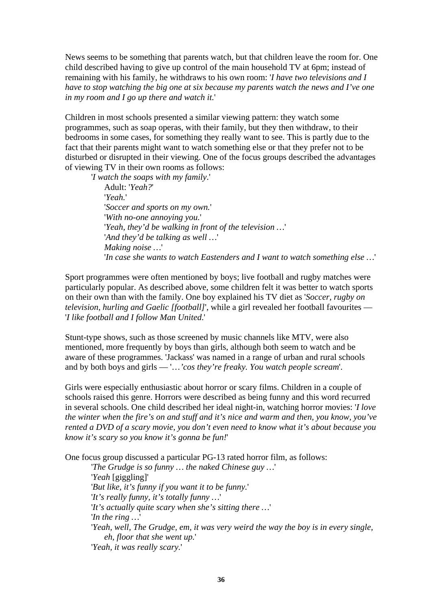News seems to be something that parents watch, but that children leave the room for. One child described having to give up control of the main household TV at 6pm; instead of remaining with his family, he withdraws to his own room: '*I have two televisions and I have to stop watching the big one at six because my parents watch the news and I've one in my room and I go up there and watch it.*'

Children in most schools presented a similar viewing pattern: they watch some programmes, such as soap operas, with their family, but they then withdraw, to their bedrooms in some cases, for something they really want to see. This is partly due to the fact that their parents might want to watch something else or that they prefer not to be disturbed or disrupted in their viewing. One of the focus groups described the advantages of viewing TV in their own rooms as follows:

'*I watch the soaps with my family*.' Adult: '*Yeah?*' '*Yeah.*' '*Soccer and sports on my own.*' '*With no-one annoying you.*' '*Yeah, they'd be walking in front of the television …*' '*And they'd be talking as well …*' *Making noise …*' '*In case she wants to watch Eastenders and I want to watch something else …*'

Sport programmes were often mentioned by boys; live football and rugby matches were particularly popular. As described above, some children felt it was better to watch sports on their own than with the family. One boy explained his TV diet as '*Soccer, rugby on television, hurling and Gaelic [football]*', while a girl revealed her football favourites — '*I like football and I follow Man United*.'

Stunt-type shows, such as those screened by music channels like MTV, were also mentioned, more frequently by boys than girls, although both seem to watch and be aware of these programmes. 'Jackass' was named in a range of urban and rural schools and by both boys and girls — '…*'cos they're freaky. You watch people scream*'.

Girls were especially enthusiastic about horror or scary films. Children in a couple of schools raised this genre. Horrors were described as being funny and this word recurred in several schools. One child described her ideal night-in, watching horror movies: '*I love the winter when the fire's on and stuff and it's nice and warm and then, you know, you've rented a DVD of a scary movie, you don't even need to know what it's about because you know it's scary so you know it's gonna be fun!*'

One focus group discussed a particular PG-13 rated horror film, as follows:

'*The Grudge is so funny … the naked Chinese guy …*' '*Yeah* [giggling]' '*But like, it's funny if you want it to be funny.*' '*It's really funny, it's totally funny …*' '*It's actually quite scary when she's sitting there …*' '*In the ring …*' '*Yeah, well, The Grudge, em, it was very weird the way the boy is in every single, eh, floor that she went up.*' '*Yeah, it was really scary.*'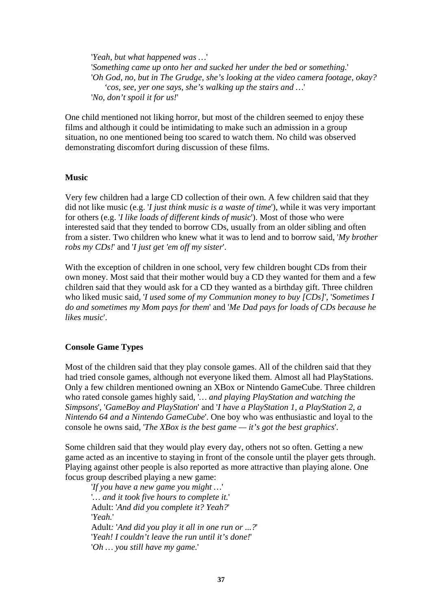'*Yeah, but what happened was …*' '*Something came up onto her and sucked her under the bed or something.*' '*Oh God, no, but in The Grudge, she's looking at the video camera footage, okay? 'cos, see, yer one says, she's walking up the stairs and …*' '*No, don't spoil it for us!*'

One child mentioned not liking horror, but most of the children seemed to enjoy these films and although it could be intimidating to make such an admission in a group situation, no one mentioned being too scared to watch them. No child was observed demonstrating discomfort during discussion of these films.

#### **Music**

Very few children had a large CD collection of their own. A few children said that they did not like music (e.g. '*I just think music is a waste of time*'), while it was very important for others (e.g. '*I like loads of different kinds of music*'). Most of those who were interested said that they tended to borrow CDs, usually from an older sibling and often from a sister. Two children who knew what it was to lend and to borrow said, '*My brother robs my CDs!*' and '*I just get 'em off my sister*'.

With the exception of children in one school, very few children bought CDs from their own money. Most said that their mother would buy a CD they wanted for them and a few children said that they would ask for a CD they wanted as a birthday gift. Three children who liked music said, '*I used some of my Communion money to buy [CDs]*', '*Sometimes I do and sometimes my Mom pays for them*' and '*Me Dad pays for loads of CDs because he likes music*'.

#### **Console Game Types**

Most of the children said that they play console games. All of the children said that they had tried console games, although not everyone liked them. Almost all had PlayStations. Only a few children mentioned owning an XBox or Nintendo GameCube. Three children who rated console games highly said, '*… and playing PlayStation and watching the Simpsons*', '*GameBoy and PlayStation*' and '*I have a PlayStation 1, a PlayStation 2, a Nintendo 64 and a Nintendo GameCube*'. One boy who was enthusiastic and loyal to the console he owns said, '*The XBox is the best game — it's got the best graphics*'.

Some children said that they would play every day, others not so often. Getting a new game acted as an incentive to staying in front of the console until the player gets through. Playing against other people is also reported as more attractive than playing alone. One focus group described playing a new game:

'*If you have a new game you might …*' '*… and it took five hours to complete it.*' Adult: '*And did you complete it? Yeah?*' '*Yeah.*' Adult*:* '*And did you play it all in one run or ...?*' '*Yeah! I couldn't leave the run until it's done!*' '*Oh … you still have my game.*'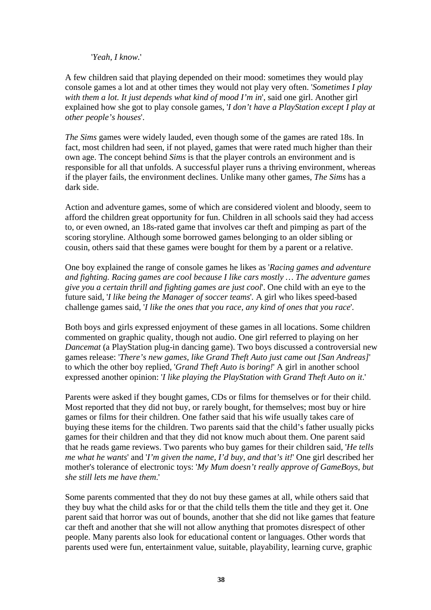#### '*Yeah, I know.*'

A few children said that playing depended on their mood: sometimes they would play console games a lot and at other times they would not play very often. '*Sometimes I play with them a lot. It just depends what kind of mood I'm in*', said one girl. Another girl explained how she got to play console games, '*I don't have a PlayStation except I play at other people's houses*'.

*The Sims* games were widely lauded, even though some of the games are rated 18s. In fact, most children had seen, if not played, games that were rated much higher than their own age. The concept behind *Sims* is that the player controls an environment and is responsible for all that unfolds. A successful player runs a thriving environment, whereas if the player fails, the environment declines. Unlike many other games, *The Sims* has a dark side.

Action and adventure games, some of which are considered violent and bloody, seem to afford the children great opportunity for fun. Children in all schools said they had access to, or even owned, an 18s-rated game that involves car theft and pimping as part of the scoring storyline. Although some borrowed games belonging to an older sibling or cousin, others said that these games were bought for them by a parent or a relative.

One boy explained the range of console games he likes as '*Racing games and adventure and fighting. Racing games are cool because I like cars mostly … The adventure games give you a certain thrill and fighting games are just cool*'. One child with an eye to the future said, '*I like being the Manager of soccer teams*'*.* A girl who likes speed-based challenge games said, '*I like the ones that you race, any kind of ones that you race*'*.* 

Both boys and girls expressed enjoyment of these games in all locations. Some children commented on graphic quality, though not audio. One girl referred to playing on her *Dancemat* (a PlayStation plug-in dancing game). Two boys discussed a controversial new games release: '*There's new games, like Grand Theft Auto just came out [San Andreas]*' to which the other boy replied, '*Grand Theft Auto is boring!*' A girl in another school expressed another opinion: '*I like playing the PlayStation with Grand Theft Auto on it*.'

Parents were asked if they bought games, CDs or films for themselves or for their child. Most reported that they did not buy, or rarely bought, for themselves; most buy or hire games or films for their children. One father said that his wife usually takes care of buying these items for the children. Two parents said that the child's father usually picks games for their children and that they did not know much about them. One parent said that he reads game reviews. Two parents who buy games for their children said, '*He tells me what he wants*' and '*I'm given the name, I'd buy, and that's it!*' One girl described her mother's tolerance of electronic toys: '*My Mum doesn't really approve of GameBoys, but she still lets me have them*.'

Some parents commented that they do not buy these games at all, while others said that they buy what the child asks for or that the child tells them the title and they get it. One parent said that horror was out of bounds, another that she did not like games that feature car theft and another that she will not allow anything that promotes disrespect of other people. Many parents also look for educational content or languages. Other words that parents used were fun, entertainment value, suitable, playability, learning curve, graphic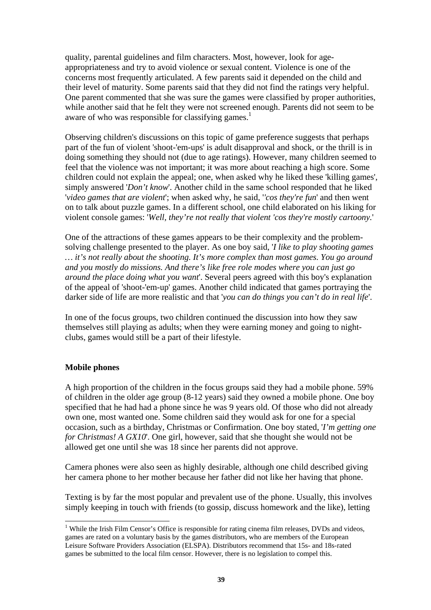quality, parental guidelines and film characters. Most, however, look for ageappropriateness and try to avoid violence or sexual content. Violence is one of the concerns most frequently articulated. A few parents said it depended on the child and their level of maturity. Some parents said that they did not find the ratings very helpful. One parent commented that she was sure the games were classified by proper authorities, while another said that he felt they were not screened enough. Parents did not seem to be aware of who was responsible for classifying games.<sup>1</sup>

Observing children's discussions on this topic of game preference suggests that perhaps part of the fun of violent 'shoot-'em-ups' is adult disapproval and shock, or the thrill is in doing something they should not (due to age ratings). However, many children seemed to feel that the violence was not important; it was more about reaching a high score. Some children could not explain the appeal; one, when asked why he liked these 'killing games', simply answered '*Don't know*'. Another child in the same school responded that he liked '*video games that are violent*'; when asked why, he said, '*'cos they're fun*' and then went on to talk about puzzle games. In a different school, one child elaborated on his liking for violent console games: '*Well, they're not really that violent 'cos they're mostly cartoony.*'

One of the attractions of these games appears to be their complexity and the problemsolving challenge presented to the player. As one boy said, '*I like to play shooting games … it's not really about the shooting. It's more complex than most games. You go around and you mostly do missions. And there's like free role modes where you can just go around the place doing what you want*'. Several peers agreed with this boy's explanation of the appeal of 'shoot-'em-up' games. Another child indicated that games portraying the darker side of life are more realistic and that '*you can do things you can't do in real life*'.

In one of the focus groups, two children continued the discussion into how they saw themselves still playing as adults; when they were earning money and going to nightclubs, games would still be a part of their lifestyle.

#### **Mobile phones**

l

A high proportion of the children in the focus groups said they had a mobile phone. 59% of children in the older age group (8-12 years) said they owned a mobile phone. One boy specified that he had had a phone since he was 9 years old. Of those who did not already own one, most wanted one. Some children said they would ask for one for a special occasion, such as a birthday, Christmas or Confirmation. One boy stated, '*I'm getting one for Christmas! A GX10*'. One girl, however, said that she thought she would not be allowed get one until she was 18 since her parents did not approve.

Camera phones were also seen as highly desirable, although one child described giving her camera phone to her mother because her father did not like her having that phone.

Texting is by far the most popular and prevalent use of the phone. Usually, this involves simply keeping in touch with friends (to gossip, discuss homework and the like), letting

<sup>&</sup>lt;sup>1</sup> While the Irish Film Censor's Office is responsible for rating cinema film releases, DVDs and videos, games are rated on a voluntary basis by the games distributors, who are members of the European Leisure Software Providers Association (ELSPA). Distributors recommend that 15s- and 18s-rated games be submitted to the local film censor. However, there is no legislation to compel this.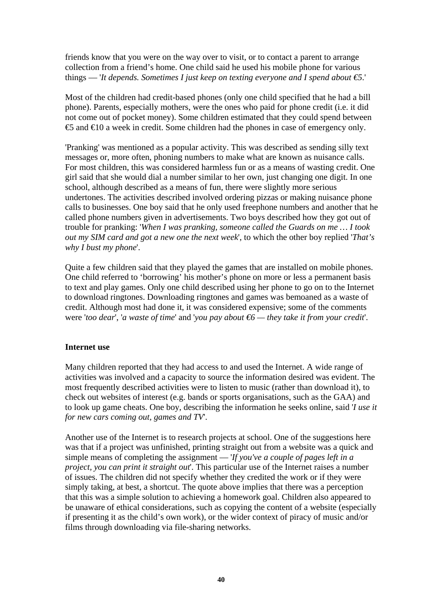friends know that you were on the way over to visit, or to contact a parent to arrange collection from a friend's home. One child said he used his mobile phone for various things — '*It depends. Sometimes I just keep on texting everyone and I spend about €5*.'

Most of the children had credit-based phones (only one child specified that he had a bill phone). Parents, especially mothers, were the ones who paid for phone credit (i.e. it did not come out of pocket money). Some children estimated that they could spend between  $\text{\large\ensuremath{\in}}$  and  $\text{\large\ensuremath{\in}} 0$  a week in credit. Some children had the phones in case of emergency only.

'Pranking' was mentioned as a popular activity. This was described as sending silly text messages or, more often, phoning numbers to make what are known as nuisance calls. For most children, this was considered harmless fun or as a means of wasting credit. One girl said that she would dial a number similar to her own, just changing one digit. In one school, although described as a means of fun, there were slightly more serious undertones. The activities described involved ordering pizzas or making nuisance phone calls to businesses. One boy said that he only used freephone numbers and another that he called phone numbers given in advertisements. Two boys described how they got out of trouble for pranking: '*When I was pranking, someone called the Guards on me … I took out my SIM card and got a new one the next week*', to which the other boy replied '*That's why I bust my phone*'.

Quite a few children said that they played the games that are installed on mobile phones. One child referred to 'borrowing' his mother's phone on more or less a permanent basis to text and play games. Only one child described using her phone to go on to the Internet to download ringtones. Downloading ringtones and games was bemoaned as a waste of credit. Although most had done it, it was considered expensive; some of the comments were '*too dear*', '*a waste of time*' and '*you pay about €6 — they take it from your credit*'.

#### **Internet use**

Many children reported that they had access to and used the Internet. A wide range of activities was involved and a capacity to source the information desired was evident. The most frequently described activities were to listen to music (rather than download it), to check out websites of interest (e.g. bands or sports organisations, such as the GAA) and to look up game cheats. One boy, describing the information he seeks online, said '*I use it for new cars coming out, games and TV*'.

Another use of the Internet is to research projects at school. One of the suggestions here was that if a project was unfinished, printing straight out from a website was a quick and simple means of completing the assignment — '*If you've a couple of pages left in a project, you can print it straight out*'. This particular use of the Internet raises a number of issues. The children did not specify whether they credited the work or if they were simply taking, at best, a shortcut. The quote above implies that there was a perception that this was a simple solution to achieving a homework goal. Children also appeared to be unaware of ethical considerations, such as copying the content of a website (especially if presenting it as the child's own work), or the wider context of piracy of music and/or films through downloading via file-sharing networks.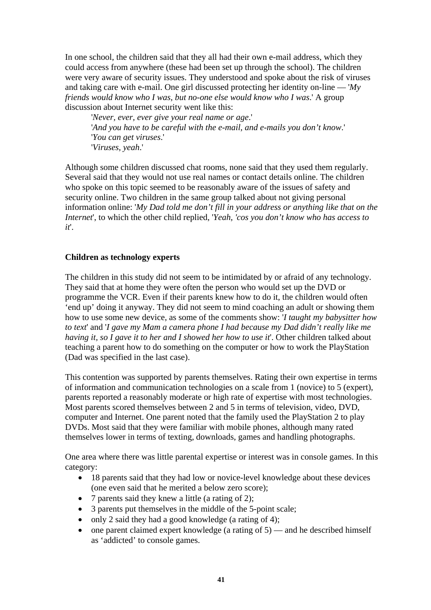In one school, the children said that they all had their own e-mail address, which they could access from anywhere (these had been set up through the school). The children were very aware of security issues. They understood and spoke about the risk of viruses and taking care with e-mail. One girl discussed protecting her identity on-line — '*My friends would know who I was, but no-one else would know who I was*.' A group discussion about Internet security went like this:

'*Never, ever, ever give your real name or age*.' '*And you have to be careful with the e-mail, and e-mails you don't know*.' '*You can get viruses*.' '*Viruses, yeah*.'

Although some children discussed chat rooms, none said that they used them regularly. Several said that they would not use real names or contact details online. The children who spoke on this topic seemed to be reasonably aware of the issues of safety and security online. Two children in the same group talked about not giving personal information online: '*My Dad told me don't fill in your address or anything like that on the Internet*', to which the other child replied, '*Yeah, 'cos you don't know who has access to it*'.

#### **Children as technology experts**

The children in this study did not seem to be intimidated by or afraid of any technology. They said that at home they were often the person who would set up the DVD or programme the VCR. Even if their parents knew how to do it, the children would often 'end up' doing it anyway. They did not seem to mind coaching an adult or showing them how to use some new device, as some of the comments show: '*I taught my babysitter how to text*' and '*I gave my Mam a camera phone I had because my Dad didn't really like me having it, so I gave it to her and I showed her how to use it*'. Other children talked about teaching a parent how to do something on the computer or how to work the PlayStation (Dad was specified in the last case).

This contention was supported by parents themselves. Rating their own expertise in terms of information and communication technologies on a scale from 1 (novice) to 5 (expert), parents reported a reasonably moderate or high rate of expertise with most technologies. Most parents scored themselves between 2 and 5 in terms of television, video, DVD, computer and Internet. One parent noted that the family used the PlayStation 2 to play DVDs. Most said that they were familiar with mobile phones, although many rated themselves lower in terms of texting, downloads, games and handling photographs.

One area where there was little parental expertise or interest was in console games. In this category:

- 18 parents said that they had low or novice-level knowledge about these devices (one even said that he merited a below zero score);
- 7 parents said they knew a little (a rating of 2);
- 3 parents put themselves in the middle of the 5-point scale;
- only 2 said they had a good knowledge (a rating of 4);
- one parent claimed expert knowledge (a rating of  $5$ ) and he described himself as 'addicted' to console games.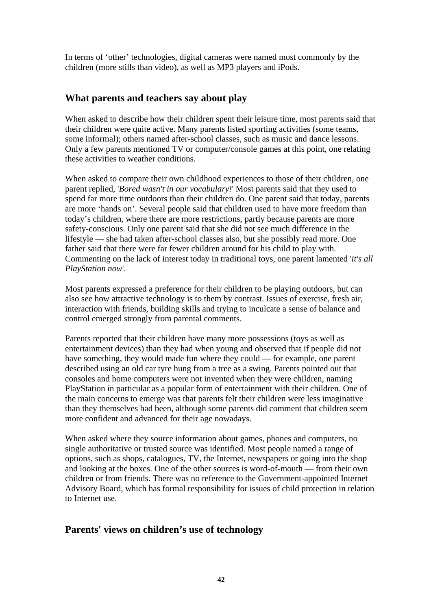In terms of 'other' technologies, digital cameras were named most commonly by the children (more stills than video), as well as MP3 players and iPods.

## **What parents and teachers say about play**

When asked to describe how their children spent their leisure time, most parents said that their children were quite active. Many parents listed sporting activities (some teams, some informal); others named after-school classes, such as music and dance lessons. Only a few parents mentioned TV or computer/console games at this point, one relating these activities to weather conditions.

When asked to compare their own childhood experiences to those of their children, one parent replied, '*Bored wasn't in our vocabulary!*' Most parents said that they used to spend far more time outdoors than their children do. One parent said that today, parents are more 'hands on'. Several people said that children used to have more freedom than today's children, where there are more restrictions, partly because parents are more safety-conscious. Only one parent said that she did not see much difference in the lifestyle — she had taken after-school classes also, but she possibly read more. One father said that there were far fewer children around for his child to play with. Commenting on the lack of interest today in traditional toys, one parent lamented '*it's all PlayStation now*'.

Most parents expressed a preference for their children to be playing outdoors, but can also see how attractive technology is to them by contrast. Issues of exercise, fresh air, interaction with friends, building skills and trying to inculcate a sense of balance and control emerged strongly from parental comments.

Parents reported that their children have many more possessions (toys as well as entertainment devices) than they had when young and observed that if people did not have something, they would made fun where they could — for example, one parent described using an old car tyre hung from a tree as a swing. Parents pointed out that consoles and home computers were not invented when they were children, naming PlayStation in particular as a popular form of entertainment with their children. One of the main concerns to emerge was that parents felt their children were less imaginative than they themselves had been, although some parents did comment that children seem more confident and advanced for their age nowadays.

When asked where they source information about games, phones and computers, no single authoritative or trusted source was identified. Most people named a range of options, such as shops, catalogues, TV, the Internet, newspapers or going into the shop and looking at the boxes. One of the other sources is word-of-mouth — from their own children or from friends. There was no reference to the Government-appointed Internet Advisory Board, which has formal responsibility for issues of child protection in relation to Internet use.

## **Parents' views on children's use of technology**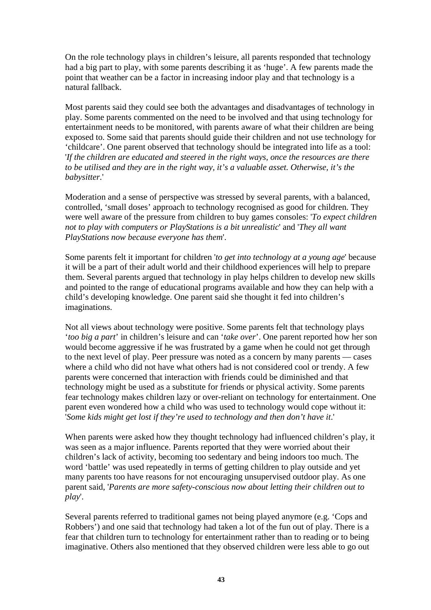On the role technology plays in children's leisure, all parents responded that technology had a big part to play, with some parents describing it as 'huge'. A few parents made the point that weather can be a factor in increasing indoor play and that technology is a natural fallback.

Most parents said they could see both the advantages and disadvantages of technology in play. Some parents commented on the need to be involved and that using technology for entertainment needs to be monitored, with parents aware of what their children are being exposed to. Some said that parents should guide their children and not use technology for 'childcare'. One parent observed that technology should be integrated into life as a tool: '*If the children are educated and steered in the right ways, once the resources are there to be utilised and they are in the right way, it's a valuable asset. Otherwise, it's the babysitter.*'

Moderation and a sense of perspective was stressed by several parents, with a balanced, controlled, 'small doses' approach to technology recognised as good for children. They were well aware of the pressure from children to buy games consoles: '*To expect children not to play with computers or PlayStations is a bit unrealistic*' and '*They all want PlayStations now because everyone has them*'.

Some parents felt it important for children '*to get into technology at a young age*' because it will be a part of their adult world and their childhood experiences will help to prepare them. Several parents argued that technology in play helps children to develop new skills and pointed to the range of educational programs available and how they can help with a child's developing knowledge. One parent said she thought it fed into children's imaginations.

Not all views about technology were positive. Some parents felt that technology plays '*too big a part*' in children's leisure and can '*take over*'. One parent reported how her son would become aggressive if he was frustrated by a game when he could not get through to the next level of play. Peer pressure was noted as a concern by many parents — cases where a child who did not have what others had is not considered cool or trendy. A few parents were concerned that interaction with friends could be diminished and that technology might be used as a substitute for friends or physical activity. Some parents fear technology makes children lazy or over-reliant on technology for entertainment. One parent even wondered how a child who was used to technology would cope without it: '*Some kids might get lost if they're used to technology and then don't have it*.'

When parents were asked how they thought technology had influenced children's play, it was seen as a major influence. Parents reported that they were worried about their children's lack of activity, becoming too sedentary and being indoors too much. The word 'battle' was used repeatedly in terms of getting children to play outside and yet many parents too have reasons for not encouraging unsupervised outdoor play. As one parent said, '*Parents are more safety-conscious now about letting their children out to play*'.

Several parents referred to traditional games not being played anymore (e.g. 'Cops and Robbers') and one said that technology had taken a lot of the fun out of play. There is a fear that children turn to technology for entertainment rather than to reading or to being imaginative. Others also mentioned that they observed children were less able to go out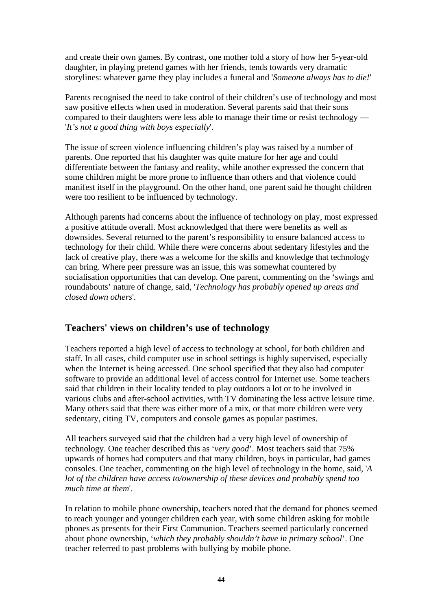and create their own games. By contrast, one mother told a story of how her 5-year-old daughter, in playing pretend games with her friends, tends towards very dramatic storylines: whatever game they play includes a funeral and '*Someone always has to die!*'

Parents recognised the need to take control of their children's use of technology and most saw positive effects when used in moderation. Several parents said that their sons compared to their daughters were less able to manage their time or resist technology — '*It's not a good thing with boys especially*'.

The issue of screen violence influencing children's play was raised by a number of parents. One reported that his daughter was quite mature for her age and could differentiate between the fantasy and reality, while another expressed the concern that some children might be more prone to influence than others and that violence could manifest itself in the playground. On the other hand, one parent said he thought children were too resilient to be influenced by technology.

Although parents had concerns about the influence of technology on play, most expressed a positive attitude overall. Most acknowledged that there were benefits as well as downsides. Several returned to the parent's responsibility to ensure balanced access to technology for their child. While there were concerns about sedentary lifestyles and the lack of creative play, there was a welcome for the skills and knowledge that technology can bring. Where peer pressure was an issue, this was somewhat countered by socialisation opportunities that can develop. One parent, commenting on the 'swings and roundabouts' nature of change, said, '*Technology has probably opened up areas and closed down others*'.

## **Teachers' views on children's use of technology**

Teachers reported a high level of access to technology at school, for both children and staff. In all cases, child computer use in school settings is highly supervised, especially when the Internet is being accessed. One school specified that they also had computer software to provide an additional level of access control for Internet use. Some teachers said that children in their locality tended to play outdoors a lot or to be involved in various clubs and after-school activities, with TV dominating the less active leisure time. Many others said that there was either more of a mix, or that more children were very sedentary, citing TV, computers and console games as popular pastimes.

All teachers surveyed said that the children had a very high level of ownership of technology. One teacher described this as '*very good*'. Most teachers said that 75% upwards of homes had computers and that many children, boys in particular, had games consoles. One teacher, commenting on the high level of technology in the home, said, '*A lot of the children have access to/ownership of these devices and probably spend too much time at them*'.

In relation to mobile phone ownership, teachers noted that the demand for phones seemed to reach younger and younger children each year, with some children asking for mobile phones as presents for their First Communion. Teachers seemed particularly concerned about phone ownership, '*which they probably shouldn't have in primary school*'. One teacher referred to past problems with bullying by mobile phone.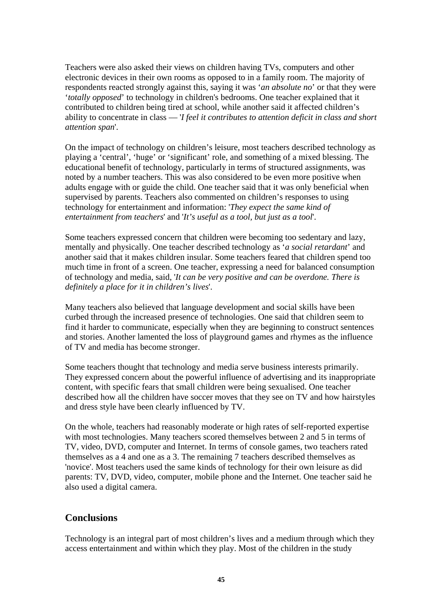Teachers were also asked their views on children having TVs, computers and other electronic devices in their own rooms as opposed to in a family room. The majority of respondents reacted strongly against this, saying it was '*an absolute no*' or that they were '*totally opposed*' to technology in children's bedrooms. One teacher explained that it contributed to children being tired at school, while another said it affected children's ability to concentrate in class — '*I feel it contributes to attention deficit in class and short attention span*'.

On the impact of technology on children's leisure, most teachers described technology as playing a 'central', 'huge' or 'significant' role, and something of a mixed blessing. The educational benefit of technology, particularly in terms of structured assignments, was noted by a number teachers. This was also considered to be even more positive when adults engage with or guide the child. One teacher said that it was only beneficial when supervised by parents. Teachers also commented on children's responses to using technology for entertainment and information: '*They expect the same kind of entertainment from teachers*' and '*It's useful as a tool, but just as a tool*'.

Some teachers expressed concern that children were becoming too sedentary and lazy, mentally and physically. One teacher described technology as '*a social retardant*' and another said that it makes children insular. Some teachers feared that children spend too much time in front of a screen. One teacher, expressing a need for balanced consumption of technology and media, said, '*It can be very positive and can be overdone. There is definitely a place for it in children's lives*'.

Many teachers also believed that language development and social skills have been curbed through the increased presence of technologies. One said that children seem to find it harder to communicate, especially when they are beginning to construct sentences and stories. Another lamented the loss of playground games and rhymes as the influence of TV and media has become stronger.

Some teachers thought that technology and media serve business interests primarily. They expressed concern about the powerful influence of advertising and its inappropriate content, with specific fears that small children were being sexualised. One teacher described how all the children have soccer moves that they see on TV and how hairstyles and dress style have been clearly influenced by TV.

On the whole, teachers had reasonably moderate or high rates of self-reported expertise with most technologies. Many teachers scored themselves between 2 and 5 in terms of TV, video, DVD, computer and Internet. In terms of console games, two teachers rated themselves as a 4 and one as a 3. The remaining 7 teachers described themselves as 'novice'. Most teachers used the same kinds of technology for their own leisure as did parents: TV, DVD, video, computer, mobile phone and the Internet. One teacher said he also used a digital camera.

## **Conclusions**

Technology is an integral part of most children's lives and a medium through which they access entertainment and within which they play. Most of the children in the study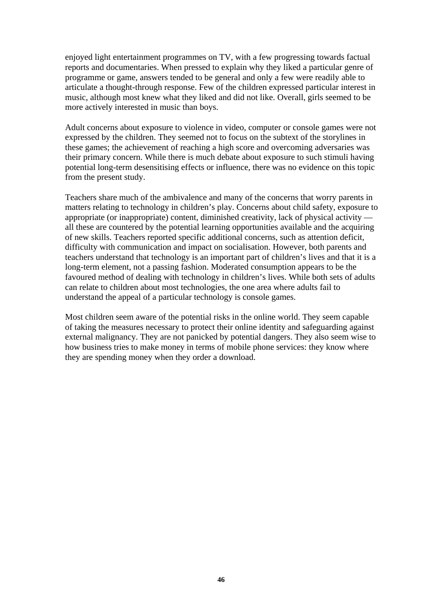enjoyed light entertainment programmes on TV, with a few progressing towards factual reports and documentaries. When pressed to explain why they liked a particular genre of programme or game, answers tended to be general and only a few were readily able to articulate a thought-through response. Few of the children expressed particular interest in music, although most knew what they liked and did not like. Overall, girls seemed to be more actively interested in music than boys.

Adult concerns about exposure to violence in video, computer or console games were not expressed by the children. They seemed not to focus on the subtext of the storylines in these games; the achievement of reaching a high score and overcoming adversaries was their primary concern. While there is much debate about exposure to such stimuli having potential long-term desensitising effects or influence, there was no evidence on this topic from the present study.

Teachers share much of the ambivalence and many of the concerns that worry parents in matters relating to technology in children's play. Concerns about child safety, exposure to appropriate (or inappropriate) content, diminished creativity, lack of physical activity all these are countered by the potential learning opportunities available and the acquiring of new skills. Teachers reported specific additional concerns, such as attention deficit, difficulty with communication and impact on socialisation. However, both parents and teachers understand that technology is an important part of children's lives and that it is a long-term element, not a passing fashion. Moderated consumption appears to be the favoured method of dealing with technology in children's lives. While both sets of adults can relate to children about most technologies, the one area where adults fail to understand the appeal of a particular technology is console games.

Most children seem aware of the potential risks in the online world. They seem capable of taking the measures necessary to protect their online identity and safeguarding against external malignancy. They are not panicked by potential dangers. They also seem wise to how business tries to make money in terms of mobile phone services: they know where they are spending money when they order a download.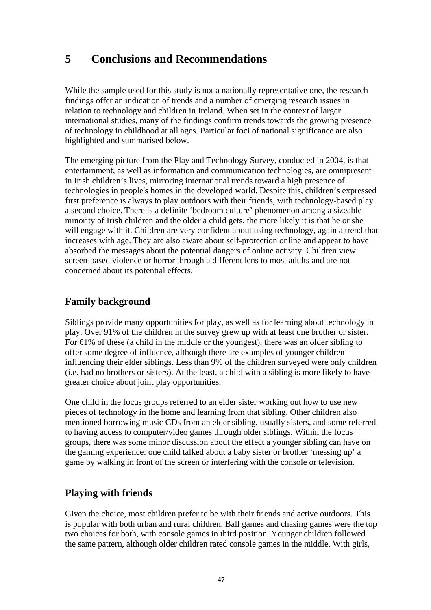## **5 Conclusions and Recommendations**

While the sample used for this study is not a nationally representative one, the research findings offer an indication of trends and a number of emerging research issues in relation to technology and children in Ireland. When set in the context of larger international studies, many of the findings confirm trends towards the growing presence of technology in childhood at all ages. Particular foci of national significance are also highlighted and summarised below.

The emerging picture from the Play and Technology Survey, conducted in 2004, is that entertainment, as well as information and communication technologies, are omnipresent in Irish children's lives, mirroring international trends toward a high presence of technologies in people's homes in the developed world. Despite this, children's expressed first preference is always to play outdoors with their friends, with technology-based play a second choice. There is a definite 'bedroom culture' phenomenon among a sizeable minority of Irish children and the older a child gets, the more likely it is that he or she will engage with it. Children are very confident about using technology, again a trend that increases with age. They are also aware about self-protection online and appear to have absorbed the messages about the potential dangers of online activity. Children view screen-based violence or horror through a different lens to most adults and are not concerned about its potential effects.

## **Family background**

Siblings provide many opportunities for play, as well as for learning about technology in play. Over 91% of the children in the survey grew up with at least one brother or sister. For 61% of these (a child in the middle or the youngest), there was an older sibling to offer some degree of influence, although there are examples of younger children influencing their elder siblings. Less than 9% of the children surveyed were only children (i.e. had no brothers or sisters). At the least, a child with a sibling is more likely to have greater choice about joint play opportunities.

One child in the focus groups referred to an elder sister working out how to use new pieces of technology in the home and learning from that sibling. Other children also mentioned borrowing music CDs from an elder sibling, usually sisters, and some referred to having access to computer/video games through older siblings. Within the focus groups, there was some minor discussion about the effect a younger sibling can have on the gaming experience: one child talked about a baby sister or brother 'messing up' a game by walking in front of the screen or interfering with the console or television.

## **Playing with friends**

Given the choice, most children prefer to be with their friends and active outdoors. This is popular with both urban and rural children. Ball games and chasing games were the top two choices for both, with console games in third position. Younger children followed the same pattern, although older children rated console games in the middle. With girls,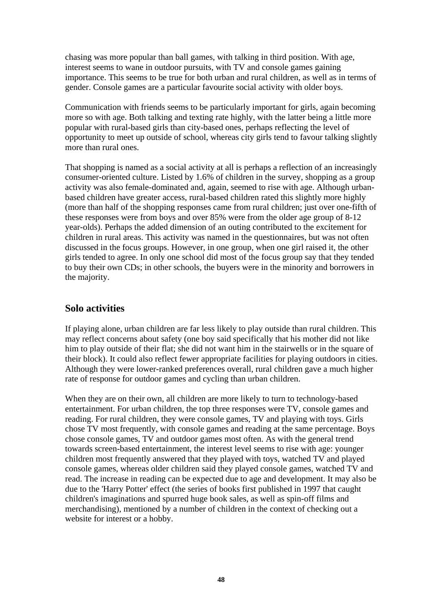chasing was more popular than ball games, with talking in third position. With age, interest seems to wane in outdoor pursuits, with TV and console games gaining importance. This seems to be true for both urban and rural children, as well as in terms of gender. Console games are a particular favourite social activity with older boys.

Communication with friends seems to be particularly important for girls, again becoming more so with age. Both talking and texting rate highly, with the latter being a little more popular with rural-based girls than city-based ones, perhaps reflecting the level of opportunity to meet up outside of school, whereas city girls tend to favour talking slightly more than rural ones.

That shopping is named as a social activity at all is perhaps a reflection of an increasingly consumer-oriented culture. Listed by 1.6% of children in the survey, shopping as a group activity was also female-dominated and, again, seemed to rise with age. Although urbanbased children have greater access, rural-based children rated this slightly more highly (more than half of the shopping responses came from rural children; just over one-fifth of these responses were from boys and over 85% were from the older age group of 8-12 year-olds). Perhaps the added dimension of an outing contributed to the excitement for children in rural areas. This activity was named in the questionnaires, but was not often discussed in the focus groups. However, in one group, when one girl raised it, the other girls tended to agree. In only one school did most of the focus group say that they tended to buy their own CDs; in other schools, the buyers were in the minority and borrowers in the majority.

## **Solo activities**

If playing alone, urban children are far less likely to play outside than rural children. This may reflect concerns about safety (one boy said specifically that his mother did not like him to play outside of their flat; she did not want him in the stairwells or in the square of their block). It could also reflect fewer appropriate facilities for playing outdoors in cities. Although they were lower-ranked preferences overall, rural children gave a much higher rate of response for outdoor games and cycling than urban children.

When they are on their own, all children are more likely to turn to technology-based entertainment. For urban children, the top three responses were TV, console games and reading. For rural children, they were console games, TV and playing with toys. Girls chose TV most frequently, with console games and reading at the same percentage. Boys chose console games, TV and outdoor games most often. As with the general trend towards screen-based entertainment, the interest level seems to rise with age: younger children most frequently answered that they played with toys, watched TV and played console games, whereas older children said they played console games, watched TV and read. The increase in reading can be expected due to age and development. It may also be due to the 'Harry Potter' effect (the series of books first published in 1997 that caught children's imaginations and spurred huge book sales, as well as spin-off films and merchandising), mentioned by a number of children in the context of checking out a website for interest or a hobby.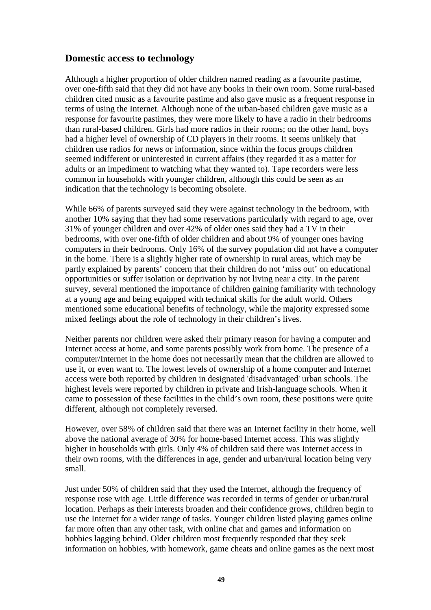## **Domestic access to technology**

Although a higher proportion of older children named reading as a favourite pastime, over one-fifth said that they did not have any books in their own room. Some rural-based children cited music as a favourite pastime and also gave music as a frequent response in terms of using the Internet. Although none of the urban-based children gave music as a response for favourite pastimes, they were more likely to have a radio in their bedrooms than rural-based children. Girls had more radios in their rooms; on the other hand, boys had a higher level of ownership of CD players in their rooms. It seems unlikely that children use radios for news or information, since within the focus groups children seemed indifferent or uninterested in current affairs (they regarded it as a matter for adults or an impediment to watching what they wanted to). Tape recorders were less common in households with younger children, although this could be seen as an indication that the technology is becoming obsolete.

While 66% of parents surveyed said they were against technology in the bedroom, with another 10% saying that they had some reservations particularly with regard to age, over 31% of younger children and over 42% of older ones said they had a TV in their bedrooms, with over one-fifth of older children and about 9% of younger ones having computers in their bedrooms. Only 16% of the survey population did not have a computer in the home. There is a slightly higher rate of ownership in rural areas, which may be partly explained by parents' concern that their children do not 'miss out' on educational opportunities or suffer isolation or deprivation by not living near a city. In the parent survey, several mentioned the importance of children gaining familiarity with technology at a young age and being equipped with technical skills for the adult world. Others mentioned some educational benefits of technology, while the majority expressed some mixed feelings about the role of technology in their children's lives.

Neither parents nor children were asked their primary reason for having a computer and Internet access at home, and some parents possibly work from home. The presence of a computer/Internet in the home does not necessarily mean that the children are allowed to use it, or even want to. The lowest levels of ownership of a home computer and Internet access were both reported by children in designated 'disadvantaged' urban schools. The highest levels were reported by children in private and Irish-language schools. When it came to possession of these facilities in the child's own room, these positions were quite different, although not completely reversed.

However, over 58% of children said that there was an Internet facility in their home, well above the national average of 30% for home-based Internet access. This was slightly higher in households with girls. Only 4% of children said there was Internet access in their own rooms, with the differences in age, gender and urban/rural location being very small.

Just under 50% of children said that they used the Internet, although the frequency of response rose with age. Little difference was recorded in terms of gender or urban/rural location. Perhaps as their interests broaden and their confidence grows, children begin to use the Internet for a wider range of tasks. Younger children listed playing games online far more often than any other task, with online chat and games and information on hobbies lagging behind. Older children most frequently responded that they seek information on hobbies, with homework, game cheats and online games as the next most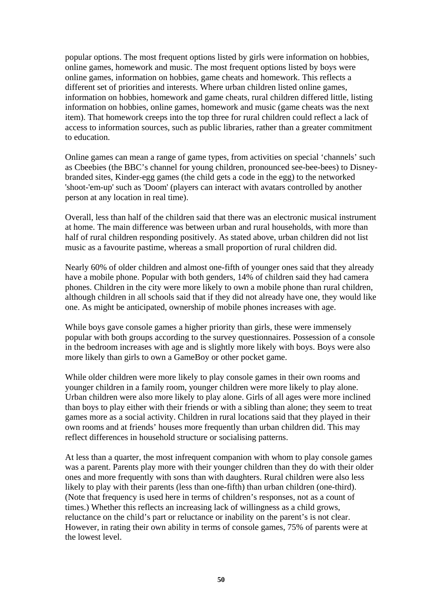popular options. The most frequent options listed by girls were information on hobbies, online games, homework and music. The most frequent options listed by boys were online games, information on hobbies, game cheats and homework. This reflects a different set of priorities and interests. Where urban children listed online games, information on hobbies, homework and game cheats, rural children differed little, listing information on hobbies, online games, homework and music (game cheats was the next item). That homework creeps into the top three for rural children could reflect a lack of access to information sources, such as public libraries, rather than a greater commitment to education.

Online games can mean a range of game types, from activities on special 'channels' such as Cbeebies (the BBC's channel for young children, pronounced see-bee-bees) to Disneybranded sites, Kinder-egg games (the child gets a code in the egg) to the networked 'shoot-'em-up' such as 'Doom' (players can interact with avatars controlled by another person at any location in real time).

Overall, less than half of the children said that there was an electronic musical instrument at home. The main difference was between urban and rural households, with more than half of rural children responding positively. As stated above, urban children did not list music as a favourite pastime, whereas a small proportion of rural children did.

Nearly 60% of older children and almost one-fifth of younger ones said that they already have a mobile phone. Popular with both genders, 14% of children said they had camera phones. Children in the city were more likely to own a mobile phone than rural children, although children in all schools said that if they did not already have one, they would like one. As might be anticipated, ownership of mobile phones increases with age.

While boys gave console games a higher priority than girls, these were immensely popular with both groups according to the survey questionnaires. Possession of a console in the bedroom increases with age and is slightly more likely with boys. Boys were also more likely than girls to own a GameBoy or other pocket game.

While older children were more likely to play console games in their own rooms and younger children in a family room, younger children were more likely to play alone. Urban children were also more likely to play alone. Girls of all ages were more inclined than boys to play either with their friends or with a sibling than alone; they seem to treat games more as a social activity. Children in rural locations said that they played in their own rooms and at friends' houses more frequently than urban children did. This may reflect differences in household structure or socialising patterns.

At less than a quarter, the most infrequent companion with whom to play console games was a parent. Parents play more with their younger children than they do with their older ones and more frequently with sons than with daughters. Rural children were also less likely to play with their parents (less than one-fifth) than urban children (one-third). (Note that frequency is used here in terms of children's responses, not as a count of times.) Whether this reflects an increasing lack of willingness as a child grows, reluctance on the child's part or reluctance or inability on the parent's is not clear. However, in rating their own ability in terms of console games, 75% of parents were at the lowest level.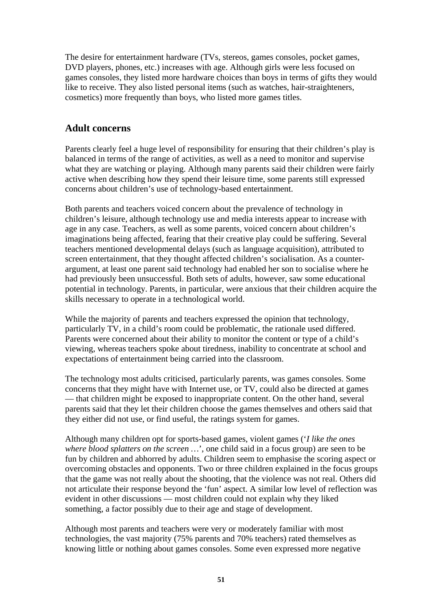The desire for entertainment hardware (TVs, stereos, games consoles, pocket games, DVD players, phones, etc.) increases with age. Although girls were less focused on games consoles, they listed more hardware choices than boys in terms of gifts they would like to receive. They also listed personal items (such as watches, hair-straighteners, cosmetics) more frequently than boys, who listed more games titles.

## **Adult concerns**

Parents clearly feel a huge level of responsibility for ensuring that their children's play is balanced in terms of the range of activities, as well as a need to monitor and supervise what they are watching or playing. Although many parents said their children were fairly active when describing how they spend their leisure time, some parents still expressed concerns about children's use of technology-based entertainment.

Both parents and teachers voiced concern about the prevalence of technology in children's leisure, although technology use and media interests appear to increase with age in any case. Teachers, as well as some parents, voiced concern about children's imaginations being affected, fearing that their creative play could be suffering. Several teachers mentioned developmental delays (such as language acquisition), attributed to screen entertainment, that they thought affected children's socialisation. As a counterargument, at least one parent said technology had enabled her son to socialise where he had previously been unsuccessful. Both sets of adults, however, saw some educational potential in technology. Parents, in particular, were anxious that their children acquire the skills necessary to operate in a technological world.

While the majority of parents and teachers expressed the opinion that technology, particularly TV, in a child's room could be problematic, the rationale used differed. Parents were concerned about their ability to monitor the content or type of a child's viewing, whereas teachers spoke about tiredness, inability to concentrate at school and expectations of entertainment being carried into the classroom.

The technology most adults criticised, particularly parents, was games consoles. Some concerns that they might have with Internet use, or TV, could also be directed at games — that children might be exposed to inappropriate content. On the other hand, several parents said that they let their children choose the games themselves and others said that they either did not use, or find useful, the ratings system for games.

Although many children opt for sports-based games, violent games ('*I like the ones where blood splatters on the screen …*', one child said in a focus group) are seen to be fun by children and abhorred by adults. Children seem to emphasise the scoring aspect or overcoming obstacles and opponents. Two or three children explained in the focus groups that the game was not really about the shooting, that the violence was not real. Others did not articulate their response beyond the 'fun' aspect. A similar low level of reflection was evident in other discussions — most children could not explain why they liked something, a factor possibly due to their age and stage of development.

Although most parents and teachers were very or moderately familiar with most technologies, the vast majority (75% parents and 70% teachers) rated themselves as knowing little or nothing about games consoles. Some even expressed more negative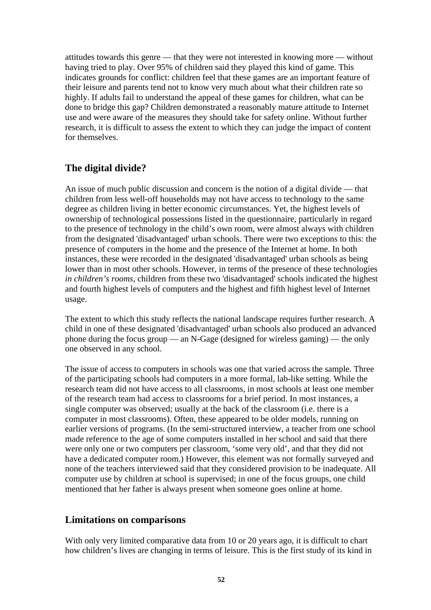attitudes towards this genre — that they were not interested in knowing more — without having tried to play. Over 95% of children said they played this kind of game. This indicates grounds for conflict: children feel that these games are an important feature of their leisure and parents tend not to know very much about what their children rate so highly. If adults fail to understand the appeal of these games for children, what can be done to bridge this gap? Children demonstrated a reasonably mature attitude to Internet use and were aware of the measures they should take for safety online. Without further research, it is difficult to assess the extent to which they can judge the impact of content for themselves.

## **The digital divide?**

An issue of much public discussion and concern is the notion of a digital divide — that children from less well-off households may not have access to technology to the same degree as children living in better economic circumstances. Yet, the highest levels of ownership of technological possessions listed in the questionnaire, particularly in regard to the presence of technology in the child's own room, were almost always with children from the designated 'disadvantaged' urban schools. There were two exceptions to this: the presence of computers in the home and the presence of the Internet at home. In both instances, these were recorded in the designated 'disadvantaged' urban schools as being lower than in most other schools. However, in terms of the presence of these technologies *in children's rooms*, children from these two 'disadvantaged' schools indicated the highest and fourth highest levels of computers and the highest and fifth highest level of Internet usage.

The extent to which this study reflects the national landscape requires further research. A child in one of these designated 'disadvantaged' urban schools also produced an advanced phone during the focus group — an N-Gage (designed for wireless gaming) — the only one observed in any school.

The issue of access to computers in schools was one that varied across the sample. Three of the participating schools had computers in a more formal, lab-like setting. While the research team did not have access to all classrooms, in most schools at least one member of the research team had access to classrooms for a brief period. In most instances, a single computer was observed; usually at the back of the classroom (i.e. there is a computer in most classrooms). Often, these appeared to be older models, running on earlier versions of programs. (In the semi-structured interview, a teacher from one school made reference to the age of some computers installed in her school and said that there were only one or two computers per classroom, 'some very old', and that they did not have a dedicated computer room.) However, this element was not formally surveyed and none of the teachers interviewed said that they considered provision to be inadequate. All computer use by children at school is supervised; in one of the focus groups, one child mentioned that her father is always present when someone goes online at home.

## **Limitations on comparisons**

With only very limited comparative data from 10 or 20 years ago, it is difficult to chart how children's lives are changing in terms of leisure. This is the first study of its kind in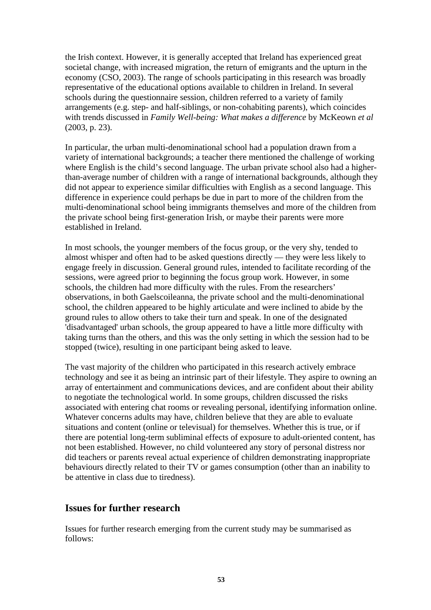the Irish context. However, it is generally accepted that Ireland has experienced great societal change, with increased migration, the return of emigrants and the upturn in the economy (CSO, 2003). The range of schools participating in this research was broadly representative of the educational options available to children in Ireland. In several schools during the questionnaire session, children referred to a variety of family arrangements (e.g. step- and half-siblings, or non-cohabiting parents), which coincides with trends discussed in *Family Well-being: What makes a difference* by McKeown *et al* (2003, p. 23).

In particular, the urban multi-denominational school had a population drawn from a variety of international backgrounds; a teacher there mentioned the challenge of working where English is the child's second language. The urban private school also had a higherthan-average number of children with a range of international backgrounds, although they did not appear to experience similar difficulties with English as a second language. This difference in experience could perhaps be due in part to more of the children from the multi-denominational school being immigrants themselves and more of the children from the private school being first-generation Irish, or maybe their parents were more established in Ireland.

In most schools, the younger members of the focus group, or the very shy, tended to almost whisper and often had to be asked questions directly — they were less likely to engage freely in discussion. General ground rules, intended to facilitate recording of the sessions, were agreed prior to beginning the focus group work. However, in some schools, the children had more difficulty with the rules. From the researchers' observations, in both Gaelscoileanna, the private school and the multi-denominational school, the children appeared to be highly articulate and were inclined to abide by the ground rules to allow others to take their turn and speak. In one of the designated 'disadvantaged' urban schools, the group appeared to have a little more difficulty with taking turns than the others, and this was the only setting in which the session had to be stopped (twice), resulting in one participant being asked to leave.

The vast majority of the children who participated in this research actively embrace technology and see it as being an intrinsic part of their lifestyle. They aspire to owning an array of entertainment and communications devices, and are confident about their ability to negotiate the technological world. In some groups, children discussed the risks associated with entering chat rooms or revealing personal, identifying information online. Whatever concerns adults may have, children believe that they are able to evaluate situations and content (online or televisual) for themselves. Whether this is true, or if there are potential long-term subliminal effects of exposure to adult-oriented content, has not been established. However, no child volunteered any story of personal distress nor did teachers or parents reveal actual experience of children demonstrating inappropriate behaviours directly related to their TV or games consumption (other than an inability to be attentive in class due to tiredness).

#### **Issues for further research**

Issues for further research emerging from the current study may be summarised as follows: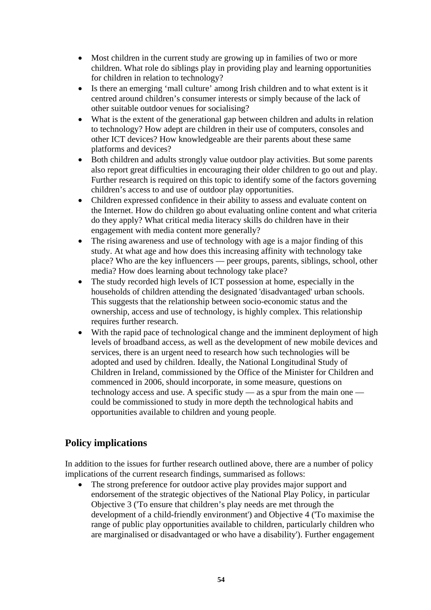- Most children in the current study are growing up in families of two or more children. What role do siblings play in providing play and learning opportunities for children in relation to technology?
- Is there an emerging 'mall culture' among Irish children and to what extent is it centred around children's consumer interests or simply because of the lack of other suitable outdoor venues for socialising?
- What is the extent of the generational gap between children and adults in relation to technology? How adept are children in their use of computers, consoles and other ICT devices? How knowledgeable are their parents about these same platforms and devices?
- Both children and adults strongly value outdoor play activities. But some parents also report great difficulties in encouraging their older children to go out and play. Further research is required on this topic to identify some of the factors governing children's access to and use of outdoor play opportunities.
- Children expressed confidence in their ability to assess and evaluate content on the Internet. How do children go about evaluating online content and what criteria do they apply? What critical media literacy skills do children have in their engagement with media content more generally?
- The rising awareness and use of technology with age is a major finding of this study. At what age and how does this increasing affinity with technology take place? Who are the key influencers — peer groups, parents, siblings, school, other media? How does learning about technology take place?
- The study recorded high levels of ICT possession at home, especially in the households of children attending the designated 'disadvantaged' urban schools. This suggests that the relationship between socio-economic status and the ownership, access and use of technology, is highly complex. This relationship requires further research.
- With the rapid pace of technological change and the imminent deployment of high levels of broadband access, as well as the development of new mobile devices and services, there is an urgent need to research how such technologies will be adopted and used by children. Ideally, the National Longitudinal Study of Children in Ireland, commissioned by the Office of the Minister for Children and commenced in 2006, should incorporate, in some measure, questions on technology access and use. A specific study — as a spur from the main one could be commissioned to study in more depth the technological habits and opportunities available to children and young people.

## **Policy implications**

In addition to the issues for further research outlined above, there are a number of policy implications of the current research findings, summarised as follows:

• The strong preference for outdoor active play provides major support and endorsement of the strategic objectives of the National Play Policy, in particular Objective 3 ('To ensure that children's play needs are met through the development of a child-friendly environment') and Objective 4 ('To maximise the range of public play opportunities available to children, particularly children who are marginalised or disadvantaged or who have a disability'). Further engagement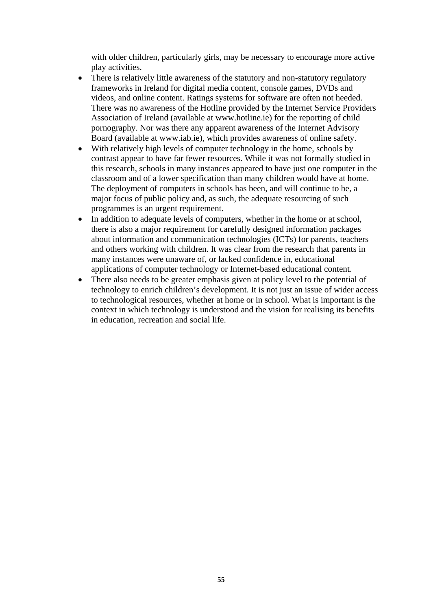with older children, particularly girls, may be necessary to encourage more active play activities.

- There is relatively little awareness of the statutory and non-statutory regulatory frameworks in Ireland for digital media content, console games, DVDs and videos, and online content. Ratings systems for software are often not heeded. There was no awareness of the Hotline provided by the Internet Service Providers Association of Ireland (available at www.hotline.ie) for the reporting of child pornography. Nor was there any apparent awareness of the Internet Advisory Board (available at www.iab.ie), which provides awareness of online safety.
- With relatively high levels of computer technology in the home, schools by contrast appear to have far fewer resources. While it was not formally studied in this research, schools in many instances appeared to have just one computer in the classroom and of a lower specification than many children would have at home. The deployment of computers in schools has been, and will continue to be, a major focus of public policy and, as such, the adequate resourcing of such programmes is an urgent requirement.
- In addition to adequate levels of computers, whether in the home or at school, there is also a major requirement for carefully designed information packages about information and communication technologies (ICTs) for parents, teachers and others working with children. It was clear from the research that parents in many instances were unaware of, or lacked confidence in, educational applications of computer technology or Internet-based educational content.
- There also needs to be greater emphasis given at policy level to the potential of technology to enrich children's development. It is not just an issue of wider access to technological resources, whether at home or in school. What is important is the context in which technology is understood and the vision for realising its benefits in education, recreation and social life.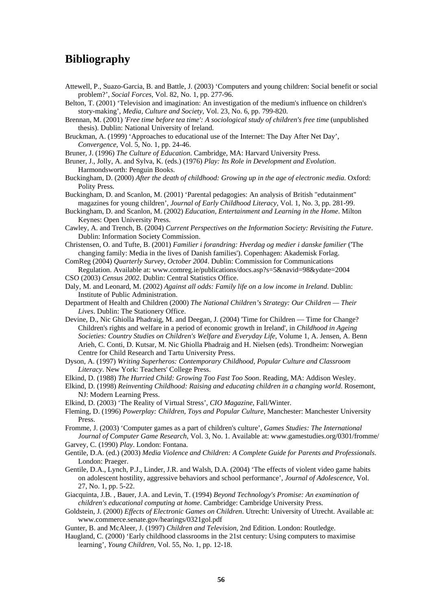## **Bibliography**

- Attewell, P., Suazo-Garcia, B. and Battle, J. (2003) 'Computers and young children: Social benefit or social problem?', *Social Forces*, Vol. 82, No. 1, pp. 277-96.
- Belton, T. (2001) 'Television and imagination: An investigation of the medium's influence on children's story-making', *Media, Culture and Society*, Vol. 23, No. 6, pp. 799-820.
- Brennan, M. (2001) *'Free time before tea time': A sociological study of children's free time* (unpublished thesis). Dublin: National University of Ireland.
- Bruckman, A. (1999) 'Approaches to educational use of the Internet: The Day After Net Day', *Convergence*, Vol. 5, No. 1, pp. 24-46.
- Bruner, J. (1996) *The Culture of Education*. Cambridge, MA: Harvard University Press.

Bruner, J., Jolly, A. and Sylva, K. (eds.) (1976) *Play: Its Role in Development and Evolution*. Harmondsworth: Penguin Books.

- Buckingham, D. (2000) *After the death of childhood: Growing up in the age of electronic media*. Oxford: Polity Press.
- Buckingham, D. and Scanlon, M. (2001) 'Parental pedagogies: An analysis of British "edutainment" magazines for young children', *Journal of Early Childhood Literacy*, Vol. 1, No. 3, pp. 281-99.
- Buckingham, D. and Scanlon, M. (2002) *Education, Entertainment and Learning in the Home*. Milton Keynes: Open University Press.
- Cawley, A. and Trench, B. (2004) *Current Perspectives on the Information Society: Revisiting the Future*. Dublin: Information Society Commission.
- Christensen, O. and Tufte, B. (2001) *Familier i forandring: Hverdag og medier i danske familier* ('The changing family: Media in the lives of Danish families'). Copenhagen: Akademisk Forlag.
- ComReg (2004) *Quarterly Survey, October 2004*. Dublin: Commission for Communications Regulation. Available at: www.comreg.ie/publications/docs.asp?s=5&navid=98&ydate=2004
- CSO (2003) *Census 2002*. Dublin: Central Statistics Office.
- Daly, M. and Leonard, M. (2002) *Against all odds: Family life on a low income in Ireland*. Dublin: Institute of Public Administration.
- Department of Health and Children (2000) *The National Children's Strategy: Our Children Their Lives*. Dublin: The Stationery Office.
- Devine, D., Nic Ghiolla Phadraig, M. and Deegan, J. (2004) 'Time for Children Time for Change? Children's rights and welfare in a period of economic growth in Ireland', in *Childhood in Ageing Societies: Country Studies on Children's Welfare and Everyday Life*, Volume 1, A. Jensen, A. Benn Arieh, C. Conti, D. Kutsar, M. Nic Ghiolla Phadraig and H. Nielsen (eds). Trondheim: Norwegian Centre for Child Research and Tartu University Press.
- Dyson, A. (1997) *Writing Superheros: Contemporary Childhood, Popular Culture and Classroom Literacy*. New York: Teachers' College Press.
- Elkind, D. (1988) *The Hurried Child: Growing Too Fast Too Soon*. Reading, MA: Addison Wesley.
- Elkind, D. (1998) *Reinventing Childhood: Raising and educating children in a changing world*. Rosemont, NJ: Modern Learning Press.
- Elkind, D. (2003) 'The Reality of Virtual Stress', *CIO Magazine*, Fall/Winter.
- Fleming, D. (1996) *Powerplay: Children, Toys and Popular Culture*, Manchester: Manchester University Press.
- Fromme, J. (2003) 'Computer games as a part of children's culture', *Games Studies: The International Journal of Computer Game Research*, Vol. 3, No. 1. Available at: www.gamestudies.org/0301/fromme/ Garvey, C. (1990) *Play*. London: Fontana.
- Gentile, D.A. (ed.) (2003) *Media Violence and Children: A Complete Guide for Parents and Professionals*. London: Praeger.
- Gentile, D.A., Lynch, P.J., Linder, J.R. and Walsh, D.A. (2004) 'The effects of violent video game habits on adolescent hostility, aggressive behaviors and school performance', *Journal of Adolescence*, Vol. 27, No. 1, pp. 5-22.
- Giacquinta, J.B. , Bauer, J.A. and Levin, T. (1994) *Beyond Technology's Promise: An examination of children's educational computing at home*. Cambridge: Cambridge University Press.
- Goldstein, J. (2000) *Effects of Electronic Games on Children*. Utrecht: University of Utrecht. Available at: www.commerce.senate.gov/hearings/0321gol.pdf
- Gunter, B. and McAleer, J. (1997) *Children and Television*, 2nd Edition. London: Routledge.
- Haugland, C. (2000) 'Early childhood classrooms in the 21st century: Using computers to maximise learning', *Young Children*, Vol. 55, No. 1, pp. 12-18.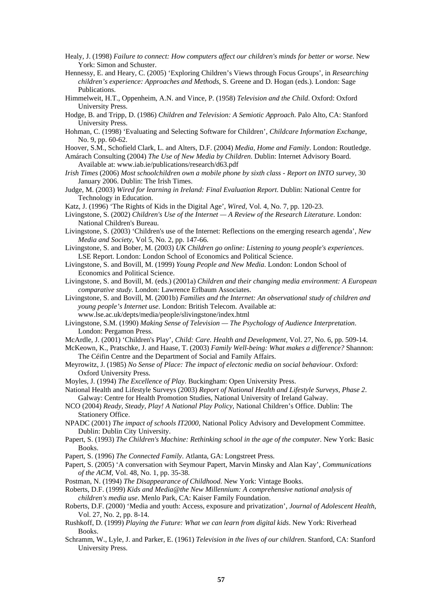- Healy, J. (1998) *Failure to connect: How computers affect our children's minds for better or worse*. New York: Simon and Schuster.
- Hennessy, E. and Heary, C. (2005) 'Exploring Children's Views through Focus Groups', in *Researching children's experience: Approaches and Methods*, S. Greene and D. Hogan (eds.). London: Sage Publications.
- Himmelweit, H.T., Oppenheim, A.N. and Vince, P. (1958) *Television and the Child*. Oxford: Oxford University Press.
- Hodge, B. and Tripp, D. (1986) *Children and Television: A Semiotic Approach*. Palo Alto, CA: Stanford University Press.
- Hohman, C. (1998) 'Evaluating and Selecting Software for Children', *Childcare Information Exchange*, No. 9, pp. 60-62.
- Hoover, S.M., Schofield Clark, L. and Alters, D.F. (2004) *Media, Home and Family*. London: Routledge.
- Amárach Consulting (2004) *The Use of New Media by Children*. Dublin: Internet Advisory Board. Available at: www.iab.ie/publications/research/d63.pdf
- *Irish Times* (2006) *Most schoolchildren own a mobile phone by sixth class Report on INTO survey*, 30 January 2006. Dublin: The Irish Times.
- Judge, M. (2003) *Wired for learning in Ireland: Final Evaluation Report*. Dublin: National Centre for Technology in Education.
- Katz, J. (1996) 'The Rights of Kids in the Digital Age', *Wired*, Vol. 4, No. 7, pp. 120-23.
- Livingstone, S. (2002) *Children's Use of the Internet A Review of the Research Literature*. London: National Children's Bureau.
- Livingstone, S. (2003) 'Children's use of the Internet: Reflections on the emerging research agenda', *New Media and Society*, Vol 5, No. 2, pp. 147-66.
- Livingstone, S. and Bober, M. (2003) *UK Children go online: Listening to young people's experiences*. LSE Report. London: London School of Economics and Political Science.
- Livingstone, S. and Bovill, M. (1999) *Young People and New Media*. London: London School of Economics and Political Science.
- Livingstone, S. and Bovill, M. (eds.) (2001a) *Children and their changing media environment: A European comparative study*. London: Lawrence Erlbaum Associates.
- Livingstone, S. and Bovill, M. (2001b) *Families and the Internet: An observational study of children and young people's Internet use*. London: British Telecom. Available at: www.lse.ac.uk/depts/media/people/slivingstone/index.html
- Livingstone, S.M. (1990) *Making Sense of Television The Psychology of Audience Interpretation*. London: Pergamon Press.
- McArdle, J. (2001) 'Children's Play', *Child: Care. Health and Development*, Vol. 27, No. 6, pp. 509-14.
- McKeown, K., Pratschke, J. and Haase, T. (2003) *Family Well-being: What makes a difference?* Shannon: The Céifin Centre and the Department of Social and Family Affairs.
- Meyrowitz, J. (1985) *No Sense of Place: The impact of electonic media on social behaviour*. Oxford: Oxford University Press.
- Moyles, J. (1994) *The Excellence of Play*. Buckingham: Open University Press.
- National Health and Lifestyle Surveys (2003) *Report of National Health and Lifestyle Surveys, Phase 2*. Galway: Centre for Health Promotion Studies, National University of Ireland Galway.
- NCO (2004) *Ready, Steady, Play! A National Play Policy*, National Children's Office. Dublin: The Stationery Office.
- NPADC (2001) *The impact of schools IT2000*, National Policy Advisory and Development Committee. Dublin: Dublin City University.
- Papert, S. (1993) *The Children's Machine: Rethinking school in the age of the computer*. New York: Basic Books.
- Papert, S. (1996) *The Connected Family*. Atlanta, GA: Longstreet Press.
- Papert, S. (2005) 'A conversation with Seymour Papert, Marvin Minsky and Alan Kay', *Communications of the ACM*, Vol. 48, No. 1, pp. 35-38.
- Postman, N. (1994) *The Disappearance of Childhood*. New York: Vintage Books.

Roberts, D.F. (1999) *Kids and Media@the New Millennium: A comprehensive national analysis of children's media use*. Menlo Park, CA: Kaiser Family Foundation.

- Roberts, D.F. (2000) 'Media and youth: Access, exposure and privatization', *Journal of Adolescent Health*, Vol. 27, No. 2, pp. 8-14.
- Rushkoff, D. (1999) *Playing the Future: What we can learn from digital kids*. New York: Riverhead Books.
- Schramm, W., Lyle, J. and Parker, E. (1961) *Television in the lives of our children*. Stanford, CA: Stanford University Press.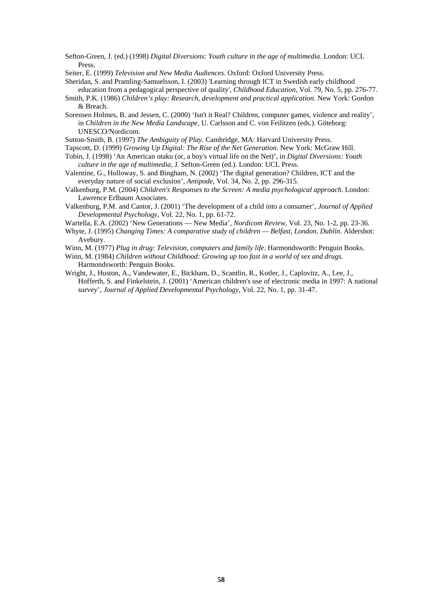Sefton-Green, J. (ed.) (1998) *Digital Diversions: Youth culture in the age of multimedia*. London: UCL Press.

Seiter, E. (1999) *Television and New Media Audiences*. Oxford: Oxford University Press.

Sheridan, S. and Pramling-Samuelsson, I. (2003) 'Learning through ICT in Swedish early childhood education from a pedagogical perspective of quality', *Childhood Education*, Vol. 79, No. 5, pp. 276-77.

- Smith, P.K. (1986) *Children's play: Research, development and practical application*. New York: Gordon & Breach.
- Sorensen Holmes, B. and Jessen, C. (2000) 'Isn't it Real? Children, computer games, violence and reality', in *Children in the New Media Landscape*, U. Carlsson and C. von Feilitzen (eds.). Göteborg: UNESCO/Nordicom.

Sutton-Smith, B. (1997) *The Ambiguity of Play*. Cambridge, MA: Harvard University Press.

- Tapscott, D. (1999) *Growing Up Digital: The Rise of the Net Generation*. New York: McGraw Hill.
- Tobin, J. (1998) 'An American otaku (or, a boy's virtual life on the Net)', in *Digital Diversions: Youth culture in the age of multimedia*, J. Sefton-Green (ed.). London: UCL Press.
- Valentine, G., Holloway, S. and Bingham, N. (2002) 'The digital generation? Children, ICT and the everyday nature of social exclusion', *Antipode*, Vol. 34, No. 2, pp. 296-315.
- Valkenburg, P.M. (2004) *Children's Responses to the Screen: A media psychological approach*. London: Lawrence Erlbaum Associates.
- Valkenburg, P.M. and Cantor, J. (2001) 'The development of a child into a consumer', *Journal of Applied Developmental Psychology*, Vol. 22, No. 1, pp. 61-72.

Wartella, E.A. (2002) 'New Generations — New Media', *Nordicom Review*, Vol. 23, No. 1-2, pp. 23-36.

Whyte, J. (1995) *Changing Times: A comparative study of children — Belfast, London, Dublin*. Aldershot: Avebury.

Winn, M. (1977) *Plug in drug: Television, computers and family life*. Harmondsworth: Penguin Books.

- Winn, M. (1984) *Children without Childhood: Growing up too fast in a world of sex and drugs*. Harmondsworth: Penguin Books.
- Wright, J., Huston, A., Vandewater, E., Bickham, D., Scantlin, R., Kotler, J., Caplovitz, A., Lee, J., Hofferth, S. and Finkelstein, J. (2001) 'American children's use of electronic media in 1997: A national survey', *Journal of Applied Developmental Psychology*, Vol. 22, No. 1, pp. 31-47.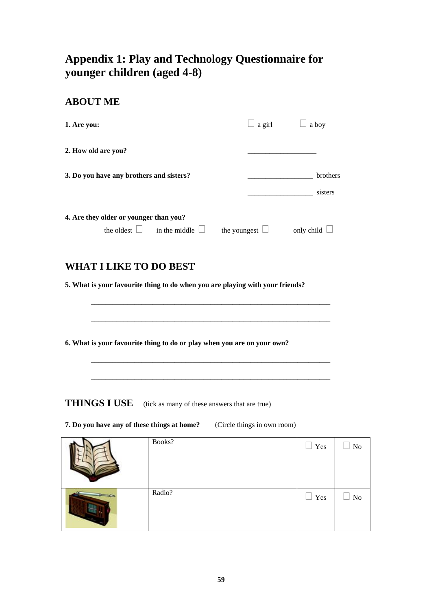## **Appendix 1: Play and Technology Questionnaire for younger children (aged 4-8)**

## **ABOUT ME**

| 1. Are you:                              | a girl       | a boy      |
|------------------------------------------|--------------|------------|
| 2. How old are you?                      |              |            |
| 3. Do you have any brothers and sisters? |              | brothers   |
|                                          |              | sisters    |
| 4. Are they older or younger than you?   |              |            |
| the oldest<br>in the middle              | the youngest | only child |

## **WHAT I LIKE TO DO BEST**

**5. What is your favourite thing to do when you are playing with your friends?** 

\_\_\_\_\_\_\_\_\_\_\_\_\_\_\_\_\_\_\_\_\_\_\_\_\_\_\_\_\_\_\_\_\_\_\_\_\_\_\_\_\_\_\_\_\_\_\_\_\_\_\_\_\_\_\_\_\_\_\_\_\_\_\_\_\_\_

\_\_\_\_\_\_\_\_\_\_\_\_\_\_\_\_\_\_\_\_\_\_\_\_\_\_\_\_\_\_\_\_\_\_\_\_\_\_\_\_\_\_\_\_\_\_\_\_\_\_\_\_\_\_\_\_\_\_\_\_\_\_\_\_\_\_

\_\_\_\_\_\_\_\_\_\_\_\_\_\_\_\_\_\_\_\_\_\_\_\_\_\_\_\_\_\_\_\_\_\_\_\_\_\_\_\_\_\_\_\_\_\_\_\_\_\_\_\_\_\_\_\_\_\_\_\_\_\_\_\_\_\_

\_\_\_\_\_\_\_\_\_\_\_\_\_\_\_\_\_\_\_\_\_\_\_\_\_\_\_\_\_\_\_\_\_\_\_\_\_\_\_\_\_\_\_\_\_\_\_\_\_\_\_\_\_\_\_\_\_\_\_\_\_\_\_\_\_\_

| 6. What is your favourite thing to do or play when you are on your own? |  |  |
|-------------------------------------------------------------------------|--|--|

**THINGS I USE** (tick as many of these answers that are true)

**7. Do you have any of these things at home?** (Circle things in own room)

| Books? | $\Box$ Yes | No                             |
|--------|------------|--------------------------------|
| Radio? | $\Box$ Yes | No<br>$\overline{\phantom{a}}$ |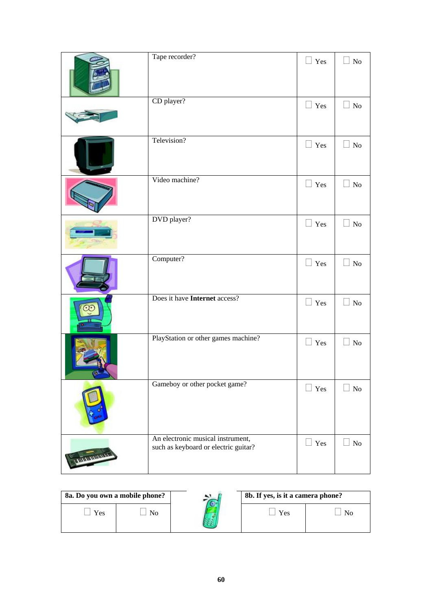|                   | Tape recorder?                                                            | Yes        | N <sub>o</sub> |
|-------------------|---------------------------------------------------------------------------|------------|----------------|
|                   | CD player?                                                                | $\Box$ Yes | N <sub>o</sub> |
|                   | Television?                                                               | $\Box$ Yes | $\Box$ No      |
|                   | Video machine?                                                            | $\Box$ Yes | N <sub>o</sub> |
|                   | DVD player?                                                               | $\Box$ Yes | $\perp$ No     |
|                   | Computer?                                                                 | $\Box$ Yes | N <sub>o</sub> |
|                   | Does it have Internet access?                                             | $\Box$ Yes | N <sub>o</sub> |
|                   | PlayStation or other games machine?                                       | $\Box$ Yes | $\Box$ No      |
|                   | Gameboy or other pocket game?                                             | Yes        | N <sub>o</sub> |
| <b>CONTRACTOR</b> | An electronic musical instrument,<br>such as keyboard or electric guitar? | $\Box$ Yes | No             |

| 8a. Do you own a mobile phone? |    | 8b. If yes, is it a camera phone? |  |
|--------------------------------|----|-----------------------------------|--|
| Yes                            | No | Yes                               |  |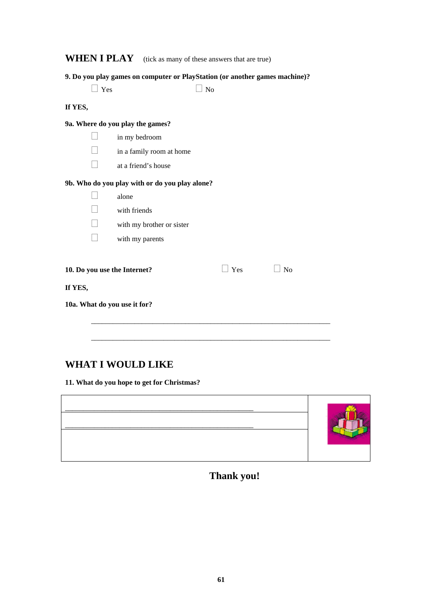| <b>WHEN I PLAY</b> (tick as many of these answers that are true) |                                                                             |           |                |  |
|------------------------------------------------------------------|-----------------------------------------------------------------------------|-----------|----------------|--|
|                                                                  | 9. Do you play games on computer or PlayStation (or another games machine)? |           |                |  |
| Yes                                                              |                                                                             | $\Box$ No |                |  |
| If YES,                                                          |                                                                             |           |                |  |
| 9a. Where do you play the games?                                 |                                                                             |           |                |  |
|                                                                  | in my bedroom                                                               |           |                |  |
|                                                                  | in a family room at home                                                    |           |                |  |
|                                                                  | at a friend's house                                                         |           |                |  |
|                                                                  | 9b. Who do you play with or do you play alone?                              |           |                |  |
|                                                                  | alone                                                                       |           |                |  |
|                                                                  | with friends                                                                |           |                |  |
|                                                                  | with my brother or sister                                                   |           |                |  |
|                                                                  | with my parents                                                             |           |                |  |
| 10. Do you use the Internet?                                     |                                                                             | Yes       | N <sub>o</sub> |  |
| If YES,                                                          |                                                                             |           |                |  |
| 10a. What do you use it for?                                     |                                                                             |           |                |  |
|                                                                  |                                                                             |           |                |  |
|                                                                  |                                                                             |           |                |  |

## **WHAT I WOULD LIKE**

**11. What do you hope to get for Christmas?** 



**Thank you!**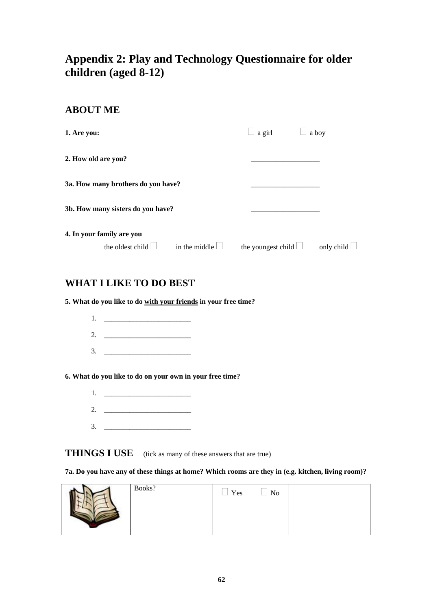## **Appendix 2: Play and Technology Questionnaire for older children (aged 8-12)**

## **ABOUT ME**

| 1. Are you:                        | a girl             | a boy      |
|------------------------------------|--------------------|------------|
| 2. How old are you?                |                    |            |
| 3a. How many brothers do you have? |                    |            |
| 3b. How many sisters do you have?  |                    |            |
| 4. In your family are you          |                    |            |
| the oldest child<br>in the middle  | the youngest child | only child |

## **WHAT I LIKE TO DO BEST**

**5. What do you like to do with your friends in your free time?** 

1. \_\_\_\_\_\_\_\_\_\_\_\_\_\_\_\_\_\_\_\_\_\_\_\_ 2. \_\_\_\_\_\_\_\_\_\_\_\_\_\_\_\_\_\_\_\_\_\_\_\_ 3. \_\_\_\_\_\_\_\_\_\_\_\_\_\_\_\_\_\_\_\_\_\_\_\_

#### **6. What do you like to do on your own in your free time?**

- 1. \_\_\_\_\_\_\_\_\_\_\_\_\_\_\_\_\_\_\_\_\_\_\_\_
- 2. \_\_\_\_\_\_\_\_\_\_\_\_\_\_\_\_\_\_\_\_\_\_\_\_
- $3.$

## **THINGS I USE** (tick as many of these answers that are true)

**7a. Do you have any of these things at home? Which rooms are they in (e.g. kitchen, living room)?** 

| Books? | Yes | $\overline{\text{No}}$ |  |
|--------|-----|------------------------|--|
|        |     |                        |  |
|        |     |                        |  |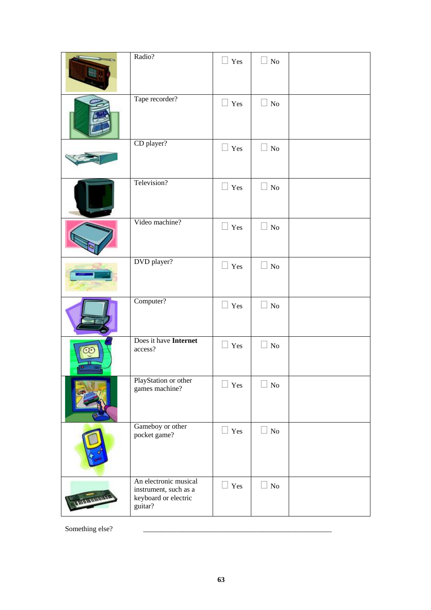|                          | Radio?                                                                            | $\Box$ Yes    | $\Box$ No |  |
|--------------------------|-----------------------------------------------------------------------------------|---------------|-----------|--|
|                          | Tape recorder?                                                                    | $\Box$ Yes    | $\Box$ No |  |
|                          | CD player?                                                                        | $\Box$ Yes    | $\Box$ No |  |
|                          | Television?                                                                       | $\Box$ Yes    | $\Box$ No |  |
|                          | Video machine?                                                                    | $\Box$ Yes    | $\Box$ No |  |
|                          | DVD player?                                                                       | Yes<br>$\Box$ | $\Box$ No |  |
|                          | Computer?                                                                         | $\Box$ Yes    | $\Box$ No |  |
|                          | Does it have Internet<br>access?                                                  | $\Box$ Yes    | $\Box$ No |  |
|                          | PlayStation or other<br>games machine?                                            | $\Box$ Yes    | $\Box$ No |  |
|                          | Gameboy or other<br>pocket game?                                                  | Yes<br>$\Box$ | $\Box$ No |  |
| <b>THE REPORT OF ALL</b> | An electronic musical<br>instrument, such as a<br>keyboard or electric<br>guitar? | Yes           | $\Box$ No |  |

Something else?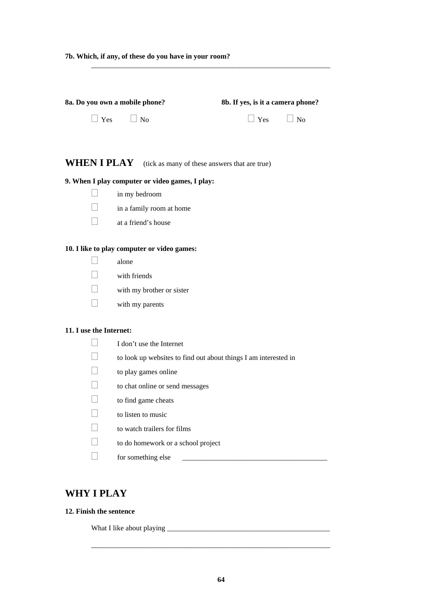#### **7b. Which, if any, of these do you have in your room?**

| 8a. Do you own a mobile phone? | 8b. If yes, is it a camera phone?      |  |
|--------------------------------|----------------------------------------|--|
| $\vert \vert$ Yes $\Box$ No    | $\vert$ $\vert$ Yes $\vert$ $\vert$ No |  |

\_\_\_\_\_\_\_\_\_\_\_\_\_\_\_\_\_\_\_\_\_\_\_\_\_\_\_\_\_\_\_\_\_\_\_\_\_\_\_\_\_\_\_\_\_\_\_\_\_\_\_\_\_\_\_\_\_\_\_\_\_\_\_\_\_\_

**WHEN I PLAY** (tick as many of these answers that are true)

#### **9. When I play computer or video games, I play:**

- $\Box$  in my bedroom
- $\Box$  in a family room at home
- $\Box$  at a friend's house

#### **10. I like to play computer or video games:**

- $\Box$  alone
- $\Box$  with friends
- $\Box$  with my brother or sister
- $\Box$  with my parents

#### **11. I use the Internet:**

| I don't use the Internet                                        |
|-----------------------------------------------------------------|
| to look up websites to find out about things I am interested in |
| to play games online                                            |
| to chat online or send messages                                 |
| to find game cheats                                             |
| to listen to music                                              |
| to watch trailers for films                                     |
| to do homework or a school project                              |
| for something else                                              |
|                                                                 |

## **WHY I PLAY**

#### **12. Finish the sentence**

What I like about playing \_\_\_\_\_\_\_\_\_\_\_\_\_\_\_\_\_\_\_\_\_\_\_\_\_\_\_\_\_\_\_\_\_\_\_\_\_\_\_\_\_\_\_\_\_

\_\_\_\_\_\_\_\_\_\_\_\_\_\_\_\_\_\_\_\_\_\_\_\_\_\_\_\_\_\_\_\_\_\_\_\_\_\_\_\_\_\_\_\_\_\_\_\_\_\_\_\_\_\_\_\_\_\_\_\_\_\_\_\_\_\_